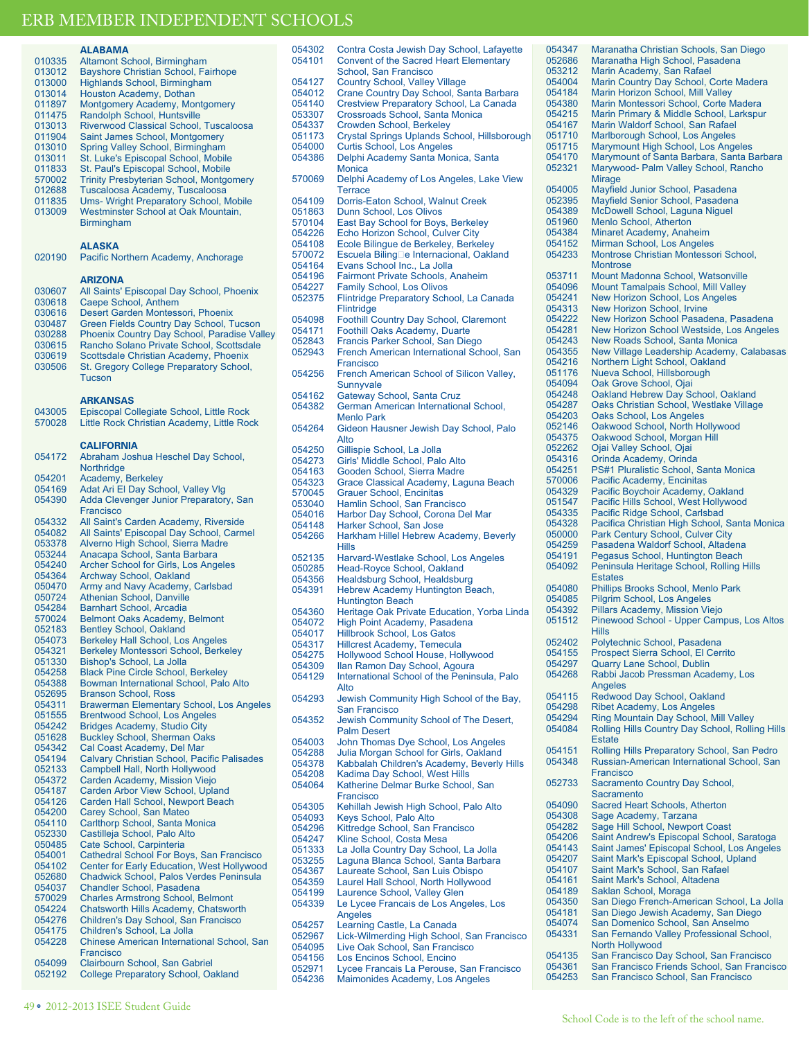### **ALABAMAz**

| 010335 | Altamont School, Birmingham                    |
|--------|------------------------------------------------|
| 013012 | Bayshore Christian School, Fairhope            |
| 013000 | Highlands School, Birmingham                   |
| 013014 | Houston Academy, Dothan                        |
| 011897 | Montgomery Academy, Montgomery                 |
| 011475 | Randolph School, Huntsville                    |
| 013013 | Riverwood Classical School, Tuscaloosa         |
| 011904 | Saint James School, Montgomery                 |
| 013010 | Spring Valley School, Birmingham               |
| 013011 | St. Luke's Episcopal School, Mobile            |
| 011833 | St. Paul's Episcopal School, Mobile            |
| 570002 | <b>Trinity Presbyterian School, Montgomery</b> |
| 012688 | Tuscaloosa Academy, Tuscaloosa                 |
| 011835 | <b>Ums- Wright Preparatory School, Mobile</b>  |
| 013009 | Westminster School at Oak Mountain.            |
|        | <b>Birmingham</b>                              |

### **ALASKA**

020190 Pacific Northern Academy, Anchorage

### **ARIZONA**

030607 All Saints' Episcopal Day School, Phoenix<br>030618 Caepe School, Anthem 030618 Caepe School, Anthem<br>030616 Desert Garden Montess 030616 Desert Garden Montessori, Phoenix<br>030487 Green Fields Country Day School, T 030487 Green Fields Country Day School, Tucson<br>030288 Phoenix Country Day School, Paradise Va 030288 Phoenix Country Day School, Paradise Valley<br>030615 Rancho Solano Private School, Scottsdale 030615 Rancho Solano Private School, Scottsdale<br>030619 Scottsdale Christian Academy, Phoenix 030619 Scottsdale Christian Academy, Phoenix<br>030506 St. Gregory College Preparatory School St. Gregory College Preparatory School, Tucson

### **ARKANSAS**

| 043005<br>570028 | Episcopal Collegiate School, Little Rock<br>Little Rock Christian Academy, Little Rock |
|------------------|----------------------------------------------------------------------------------------|
|                  | CALIFORNIA                                                                             |
| 054172           | Abraham Joshua Heschel Day School,<br>Northridge                                       |
| 054201           | Academy, Berkeley                                                                      |
| 054169           | Adat Ari El Day School, Valley Vlg                                                     |
| 054390           | Adda Clevenger Junior Preparatory, San<br>Francisco                                    |
| 054332           | All Saint's Carden Academy, Riverside                                                  |
| 054082           | All Saints' Episcopal Day School, Carmel                                               |
| 053378           | Alverno High School, Sierra Madre                                                      |
| 053244           | Anacapa School, Santa Barbara                                                          |
| 054240           | <b>Archer School for Girls, Los Angeles</b>                                            |
| 054364           | <b>Archway School, Oakland</b>                                                         |
| 050470           | Army and Navy Academy, Carlsbad                                                        |
| 050724           | <b>Athenian School, Danville</b>                                                       |
| 054284           | <b>Barnhart School, Arcadia</b>                                                        |
| 570024           | <b>Belmont Oaks Academy, Belmont</b>                                                   |
| 052183           | <b>Bentley School, Oakland</b>                                                         |
| 054073           | <b>Berkeley Hall School, Los Angeles</b>                                               |
| 054321           | Berkeley Montessori School, Berkeley                                                   |
| 051330           | Bishop's School, La Jolla                                                              |
| 054258           | <b>Black Pine Circle School, Berkeley</b>                                              |
| 054388           | Bowman International School, Palo Alto                                                 |
| 052695           | <b>Branson School, Ross</b>                                                            |
| 054311           | <b>Brawerman Elementary School, Los Angeles</b>                                        |
| 051555           | <b>Brentwood School, Los Angeles</b>                                                   |
| 054242           | <b>Bridges Academy, Studio City</b>                                                    |
| 051628           | <b>Buckley School, Sherman Oaks</b>                                                    |
| 054342           | Cal Coast Academy, Del Mar                                                             |
| 054194           | Calvary Christian School, Pacific Palisades                                            |
| 052133           | Campbell Hall, North Hollywood                                                         |
| 054372           | Carden Academy, Mission Viejo                                                          |
| 054187           | Carden Arbor View School, Upland                                                       |
| 054126           | Carden Hall School, Newport Beach                                                      |
| 054200           | Carey School, San Mateo                                                                |
| 054110           | Carlthorp School, Santa Monica                                                         |
| 052330           | Castilleja School, Palo Alto                                                           |
| 050485           | Cate School, Carpinteria                                                               |
| 054001           | Cathedral School For Boys, San Francisco                                               |
| 054102           | Center for Early Education, West Hollywood                                             |
| 052680           | Chadwick School, Palos Verdes Peninsula                                                |
| 054037           | <b>Chandler School, Pasadena</b>                                                       |
| 570029           | <b>Charles Armstrong School, Belmont</b>                                               |
| 054224           | Chatsworth Hills Academy, Chatsworth                                                   |
| 054276           | Children's Day School, San Francisco                                                   |
| 054175           | Children's School, La Jolla                                                            |
| 054228           | Chinese American International School, San                                             |
|                  | Francisco                                                                              |
| 054099           | Clairbourn School, San Gabriel                                                         |
| 052192           | <b>College Preparatory School, Oakland</b>                                             |
|                  |                                                                                        |

| 054101           | <b>Convent of the Sacred Heart Elementary</b>                                | 052686           | Maranatha High School, Pasadena                                          |
|------------------|------------------------------------------------------------------------------|------------------|--------------------------------------------------------------------------|
|                  | School, San Francisco                                                        | 053212           | Marin Academy, San Rafael                                                |
| 054127           | <b>Country School, Valley Village</b>                                        | 054004           | Marin Country Day School, Corte Madera                                   |
| 054012           | Crane Country Day School, Santa Barbara                                      | 054184           | Marin Horizon School, Mill Valley                                        |
| 054140           | Crestview Preparatory School, La Canada                                      | 054380           | Marin Montessori School, Corte Madera                                    |
| 053307           | Crossroads School, Santa Monica                                              | 054215           | Marin Primary & Middle School, Larkspur                                  |
| 054337<br>051173 | Crowden School, Berkeley                                                     | 054167<br>051710 | Marin Waldorf School, San Rafael<br>Marlborough School, Los Angeles      |
| 054000           | Crystal Springs Uplands School, Hillsborough<br>Curtis School, Los Angeles   | 051715           | Marymount High School, Los Angeles                                       |
| 054386           | Delphi Academy Santa Monica, Santa                                           | 054170           | Marymount of Santa Barbara, Santa Barb                                   |
|                  | <b>Monica</b>                                                                | 052321           | Marywood- Palm Valley School, Rancho                                     |
| 570069           | Delphi Academy of Los Angeles, Lake View                                     |                  | <b>Mirage</b>                                                            |
|                  | <b>Terrace</b>                                                               | 054005           | Mayfield Junior School, Pasadena                                         |
| 054109           | Dorris-Eaton School, Walnut Creek                                            | 052395           | Mayfield Senior School, Pasadena                                         |
| 051863           | Dunn School, Los Olivos                                                      | 054389           | McDowell School, Laguna Niguel                                           |
| 570104           | East Bay School for Boys, Berkeley                                           | 051960           | Menlo School, Atherton                                                   |
| 054226           | Echo Horizon School, Culver City                                             | 054384           | Minaret Academy, Anaheim                                                 |
| 054108           | Ecole Bilingue de Berkeley, Berkeley                                         | 054152           | Mirman School, Los Angeles                                               |
| 570072           | Escuela Biling□e Internacional, Oakland                                      | 054233           | Montrose Christian Montessori School,                                    |
| 054164           | Evans School Inc., La Jolla                                                  |                  | <b>Montrose</b>                                                          |
| 054196           | <b>Fairmont Private Schools, Anaheim</b>                                     | 053711           | Mount Madonna School, Watsonville                                        |
| 054227           | <b>Family School, Los Olivos</b>                                             | 054096           | Mount Tamalpais School, Mill Valley                                      |
| 052375           | Flintridge Preparatory School, La Canada                                     | 054241           | New Horizon School, Los Angeles                                          |
|                  | Flintridge                                                                   | 054313           | New Horizon School, Irvine                                               |
| 054098           | <b>Foothill Country Day School, Claremont</b>                                | 054222           | New Horizon School Pasadena, Pasadena                                    |
| 054171           | Foothill Oaks Academy, Duarte                                                | 054281           | New Horizon School Westside, Los Angel                                   |
| 052843           | Francis Parker School, San Diego                                             | 054243           | New Roads School, Santa Monica                                           |
| 052943           | French American International School, San                                    | 054355           | New Village Leadership Academy, Calaba                                   |
|                  | Francisco                                                                    | 054216           | Northern Light School, Oakland                                           |
| 054256           | French American School of Silicon Valley,                                    | 051176           | Nueva School, Hillsborough                                               |
|                  | Sunnyvale                                                                    | 054094           | Oak Grove School, Ojai                                                   |
| 054162           | Gateway School, Santa Cruz                                                   | 054248           | Oakland Hebrew Day School, Oakland                                       |
| 054382           | German American International School,                                        | 054287           | Oaks Christian School, Westlake Village                                  |
|                  | <b>Menlo Park</b>                                                            | 054203           | Oaks School, Los Angeles                                                 |
| 054264           | Gideon Hausner Jewish Day School, Palo                                       | 052146           | Oakwood School, North Hollywood                                          |
|                  | Alto                                                                         | 054375           | Oakwood School, Morgan Hill                                              |
| 054250           | Gillispie School, La Jolla                                                   | 052262           | Ojai Valley School, Ojai                                                 |
| 054273           | Girls' Middle School, Palo Alto                                              | 054316           | Orinda Academy, Orinda                                                   |
| 054163           | Gooden School, Sierra Madre                                                  | 054251           | PS#1 Pluralistic School, Santa Monica                                    |
| 054323           | Grace Classical Academy, Laguna Beach                                        | 570006           | Pacific Academy, Encinitas                                               |
| 570045           | <b>Grauer School, Encinitas</b>                                              | 054329           | Pacific Boychoir Academy, Oakland                                        |
| 053040           | Hamlin School, San Francisco                                                 | 051547<br>054335 | Pacific Hills School, West Hollywood<br>Pacific Ridge School, Carlsbad   |
| 054016           | Harbor Day School, Corona Del Mar                                            | 054328           | Pacifica Christian High School, Santa Mor                                |
| 054148           | Harker School, San Jose                                                      | 050000           | Park Century School, Culver City                                         |
| 054266           | Harkham Hillel Hebrew Academy, Beverly                                       | 054259           | Pasadena Waldorf School, Altadena                                        |
|                  | <b>Hills</b>                                                                 | 054191           | Pegasus School, Huntington Beach                                         |
| 052135           | Harvard-Westlake School, Los Angeles                                         | 054092           | Peninsula Heritage School, Rolling Hills                                 |
| 050285<br>054356 | Head-Royce School, Oakland                                                   |                  | <b>Estates</b>                                                           |
| 054391           | <b>Healdsburg School, Healdsburg</b><br>Hebrew Academy Huntington Beach,     | 054080           | Phillips Brooks School, Menlo Park                                       |
|                  | <b>Huntington Beach</b>                                                      | 054085           | Pilgrim School, Los Angeles                                              |
| 054360           | Heritage Oak Private Education, Yorba Linda                                  | 054392           | Pillars Academy, Mission Viejo                                           |
| 054072           | High Point Academy, Pasadena                                                 | 051512           | Pinewood School - Upper Campus, Los A                                    |
| 054017           | <b>Hillbrook School, Los Gatos</b>                                           |                  | <b>Hills</b>                                                             |
| 054317           | <b>Hillcrest Academy, Temecula</b>                                           | 052402           | Polytechnic School, Pasadena                                             |
| 054275           | <b>Hollywood School House, Hollywood</b>                                     | 054155           | Prospect Sierra School, El Cerrito                                       |
| 054309           | Ilan Ramon Day School, Agoura                                                | 054297           | <b>Quarry Lane School, Dublin</b>                                        |
| 054129           | International School of the Peninsula, Palo                                  | 054268           | Rabbi Jacob Pressman Academy, Los                                        |
|                  | Alto                                                                         |                  | Angeles                                                                  |
| 054293           | Jewish Community High School of the Bay,                                     | 054115           | Redwood Day School, Oakland                                              |
|                  | <b>San Francisco</b>                                                         | 054298           | <b>Ribet Academy, Los Angeles</b>                                        |
| 054352           | Jewish Community School of The Desert,                                       | 054294           | <b>Ring Mountain Day School, Mill Valley</b>                             |
|                  | <b>Palm Desert</b>                                                           | 054084           | Rolling Hills Country Day School, Rolling I                              |
| 054003           | John Thomas Dye School, Los Angeles                                          |                  | <b>Estate</b>                                                            |
| 054288           | Julia Morgan School for Girls, Oakland                                       | 054151           | Rolling Hills Preparatory School, San Ped                                |
| 054378           | Kabbalah Children's Academy, Beverly Hills                                   | 054348           | Russian-American International School, S                                 |
| 054208           | Kadima Day School, West Hills                                                |                  | Francisco                                                                |
| 054064           | Katherine Delmar Burke School, San                                           | 052733           | Sacramento Country Day School,                                           |
|                  | Francisco                                                                    |                  | Sacramento                                                               |
| 054305           | Kehillah Jewish High School, Palo Alto                                       | 054090           | Sacred Heart Schools, Atherton                                           |
| 054093           | Keys School, Palo Alto                                                       | 054308           | Sage Academy, Tarzana                                                    |
| 054296           | Kittredge School, San Francisco                                              | 054282           | Sage Hill School, Newport Coast                                          |
| 054247           | Kline School, Costa Mesa                                                     | 054206           | Saint Andrew's Episcopal School, Saratoc                                 |
| 051333           | La Jolla Country Day School, La Jolla                                        | 054143           | Saint James' Episcopal School, Los Ange                                  |
| 053255           | Laguna Blanca School, Santa Barbara                                          | 054207<br>054107 | Saint Mark's Episcopal School, Upland<br>Saint Mark's School, San Rafael |
| 054367           | Laureate School, San Luis Obispo                                             | 054161           | Saint Mark's School, Altadena                                            |
| 054359           | Laurel Hall School, North Hollywood                                          | 054189           | Saklan School, Moraga                                                    |
| 054199           | Laurence School, Valley Glen                                                 | 054350           | San Diego French-American School, La J                                   |
| 054339           | Le Lycee Francais de Los Angeles, Los                                        | 054181           | San Diego Jewish Academy, San Diego                                      |
|                  | Angeles                                                                      | 054074           | San Domenico School, San Anselmo                                         |
| 054257<br>052967 | Learning Castle, La Canada                                                   | 054331           | San Fernando Valley Professional School                                  |
| 054095           | Lick-Wilmerding High School, San Francisco<br>Live Oak School, San Francisco |                  | North Hollywood                                                          |
| 054156           | Los Encinos School, Encino                                                   | 054135           | San Francisco Day School, San Francisco                                  |
| 052971           | Lycee Francais La Perouse, San Francisco                                     | 054361           | San Francisco Friends School, San Franc                                  |
| 054236           | Maimonides Academy, Los Angeles                                              | 054253           | San Francisco School, San Francisco                                      |
|                  |                                                                              |                  |                                                                          |

054302 Contra Costa Jewish Day School, Lafayette

t of Santa Barbara, Santa Barbara - Palm Valley School, Rancho unior School, Pasadena enior School, Pasadena School, Laguna Niguel ool, Atherton ademy, Anaheim hool, Los Angeles Christian Montessori School, donna School, Watsonville nalpais School, Mill Valley on School, Los Angeles on School, Irvine on School Pasadena, Pasadena on School Westside, Los Angeles s School, Santa Monica e Leadership Academy, Calabasas ight School, Oakland nool. Hillsborough School, Ojai lebrew Day School, Oakland stian School, Westlake Village ool, Los Angeles School, North Hollywood 054375 Oakwood School, Morgan Hill School, Ojai ademy, Orinda alistic School, Santa Monica ademy, Encinitas choir Academy, Oakland s School, West Hollywood ge School, Carlsbad hristian High School, Santa Monica ury School, Culver City Waldorf School, Altadena chool, Huntington Beach Heritage School, Rolling Hills ooks School, Menlo Park hool, Los Angeles demy, Mission Viejo School - Upper Campus, Los Altos c School, Pasadena Sierra School, El Cerrito ne School, Dublin ob Pressman Academy, Los Day School, Oakland demy, Los Angeles **tain Day School, Mill Valley** 054084 Rolling Hills Country Day School, Rolling Hills Is Preparatory School, San Pedro merican International School, San to Country Day School, **Sacramento** art Schools, Atherton demy, Tarzana School, Newport Coast ew's Episcopal School, Saratoga es' Episcopal School, Los Angeles 's Episcopal School, Upland 's School, San Rafael 's School, Altadena hool, Moraga French-American School, La Jolla Jewish Academy, San Diego nico School, San Anselmo ndo Valley Professional School, wood .<br>isco Day School, San Francisco isco Friends School, San Francisco isco School, San Francisco

054347 Maranatha Christian Schools, San Diego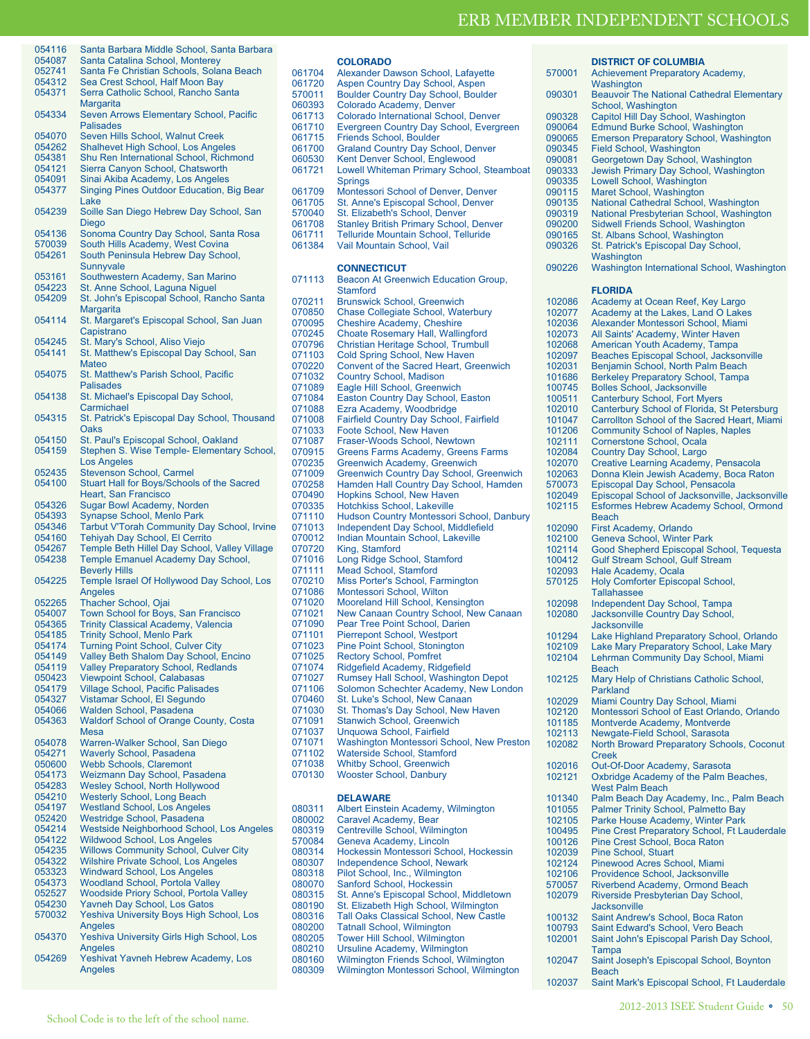| 054116 | Santa Barbara Middle School, Santa Barbara      |
|--------|-------------------------------------------------|
| 054087 | Santa Catalina School, Monterey                 |
| 052741 | Santa Fe Christian Schools, Solana Beach        |
| 054312 | Sea Crest School, Half Moon Bay                 |
| 054371 | Serra Catholic School, Rancho Santa             |
|        | Margarita                                       |
| 054334 | Seven Arrows Elementary School, Pacific         |
|        | <b>Palisades</b>                                |
| 054070 | Seven Hills School, Walnut Creek                |
| 054262 | <b>Shalhevet High School, Los Angeles</b>       |
| 054381 | Shu Ren International School, Richmond          |
| 054121 | Sierra Canyon School, Chatsworth                |
| 054091 | Sinai Akiba Academy, Los Angeles                |
| 054377 | Singing Pines Outdoor Education, Big Bear       |
|        | Lake                                            |
| 054239 | Soille San Diego Hebrew Day School, San         |
|        | Diego                                           |
| 054136 | Sonoma Country Day School, Santa Rosa           |
| 570039 | South Hills Academy, West Covina                |
| 054261 | South Peninsula Hebrew Day School,              |
|        | Sunnyvale                                       |
| 053161 | Southwestern Academy, San Marino                |
| 054223 | St. Anne School, Laguna Niguel                  |
| 054209 | St. John's Episcopal School, Rancho Santa       |
|        | Margarita                                       |
| 054114 | St. Margaret's Episcopal School, San Juan       |
|        | Capistrano                                      |
| 054245 | St. Mary's School, Aliso Viejo                  |
| 054141 | St. Matthew's Episcopal Day School, San         |
|        | Mateo                                           |
| 054075 | St. Matthew's Parish School, Pacific            |
|        | <b>Palisades</b>                                |
| 054138 | St. Michael's Episcopal Day School,             |
|        | Carmichael                                      |
| 054315 | St. Patrick's Episcopal Day School, Thousand    |
|        | Oaks                                            |
| 054150 | St. Paul's Episcopal School, Oakland            |
| 054159 | Stephen S. Wise Temple- Elementary School,      |
|        | <b>Los Angeles</b>                              |
| 052435 | <b>Stevenson School, Carmel</b>                 |
| 054100 | Stuart Hall for Boys/Schools of the Sacred      |
|        | Heart, San Francisco                            |
| 054326 | Sugar Bowl Academy, Norden                      |
| 054393 | <b>Synapse School, Menlo Park</b>               |
| 054346 | Tarbut V'Torah Community Day School, Irvine     |
| 054160 | Tehiyah Day School, El Cerrito                  |
| 054267 | Temple Beth Hillel Day School, Valley Village   |
| 054238 | <b>Temple Emanuel Academy Day School,</b>       |
|        | <b>Beverly Hills</b>                            |
| 054225 | Temple Israel Of Hollywood Day School, Los      |
|        | <b>Angeles</b>                                  |
| 052265 | <b>Thacher School, Ojai</b>                     |
| 054007 | Town School for Boys, San Francisco             |
| 054365 | <b>Trinity Classical Academy, Valencia</b>      |
| 054185 | <b>Trinity School, Menlo Park</b>               |
| 054174 | <b>Turning Point School, Culver City</b>        |
| 054149 | Valley Beth Shalom Day School, Encino           |
| 054119 | <b>Valley Preparatory School, Redlands</b>      |
| 050423 | <b>Viewpoint School, Calabasas</b>              |
| 054179 | <b>Village School, Pacific Palisades</b>        |
| 054327 | Vistamar School, El Segundo                     |
| 054066 | Walden School, Pasadena                         |
| 054363 | <b>Waldorf School of Orange County, Costa</b>   |
|        | <b>Mesa</b>                                     |
| 054078 | Warren-Walker School, San Diego                 |
| 054271 | <b>Waverly School, Pasadena</b>                 |
| 050600 | <b>Webb Schools, Claremont</b>                  |
| 054173 | Weizmann Day School, Pasadena                   |
| 054283 | Wesley School, North Hollywood                  |
| 054210 | <b>Westerly School, Long Beach</b>              |
| 054197 | <b>Westland School, Los Angeles</b>             |
| 052420 | Westridge School, Pasadena                      |
| 054214 | Westside Neighborhood School, Los Angeles       |
| 054122 | <b>Wildwood School, Los Angeles</b>             |
| 054235 | <b>Willows Community School, Culver City</b>    |
| 054322 | <b>Wilshire Private School, Los Angeles</b>     |
| 053323 | <b>Windward School, Los Angeles</b>             |
| 054373 | <b>Woodland School, Portola Valley</b>          |
| 052527 | <b>Woodside Priory School, Portola Valley</b>   |
| 054230 | Yavneh Day School, Los Gatos                    |
| 570032 | <b>Yeshiva University Boys High School, Los</b> |
|        | Angeles                                         |
| 054370 | Yeshiva University Girls High School, Los       |
|        | Angeles                                         |
| 054269 | Yeshivat Yavneh Hebrew Academy, Los             |
|        | Angeles                                         |

|                  | <b>COLORADO</b>                                                                       |
|------------------|---------------------------------------------------------------------------------------|
| 061704           | Alexander Dawson School, Lafayette                                                    |
| 061720           | Aspen Country Day School, Aspen                                                       |
| 570011           | <b>Boulder Country Day School, Boulder</b>                                            |
| 060393           | Colorado Academy, Denver                                                              |
| 061713<br>061710 | Colorado International School, Denver<br>Evergreen Country Day School, Evergreen      |
| 061715           | <b>Friends School, Boulder</b>                                                        |
| 061700           | <b>Graland Country Day School, Denver</b>                                             |
| 060530           | Kent Denver School, Englewood                                                         |
| 061721           | Lowell Whiteman Primary School, Steamboat                                             |
|                  | <b>Springs</b>                                                                        |
| 061709           | Montessori School of Denver, Denver                                                   |
| 061705           | St. Anne's Episcopal School, Denver                                                   |
| 570040           | St. Elizabeth's School, Denver                                                        |
| 061708<br>061711 | <b>Stanley British Primary School, Denver</b><br>Telluride Mountain School, Telluride |
| 061384           | Vail Mountain School, Vail                                                            |
|                  |                                                                                       |
|                  | <b>CONNECTICUT</b>                                                                    |
| 071113           | Beacon At Greenwich Education Group,                                                  |
|                  | Stamford                                                                              |
| 070211           | <b>Brunswick School, Greenwich</b>                                                    |
| 070850           | Chase Collegiate School, Waterbury                                                    |
| 070095<br>070245 | Cheshire Academy, Cheshire                                                            |
| 070796           | <b>Choate Rosemary Hall, Wallingford</b><br>Christian Heritage School, Trumbull       |
| 071103           | Cold Spring School, New Haven                                                         |
| 070220           | Convent of the Sacred Heart, Greenwich                                                |
| 071032           | <b>Country School, Madison</b>                                                        |
| 071089           | Eagle Hill School, Greenwich                                                          |
| 071084           | Easton Country Day School, Easton                                                     |
| 071088           | Ezra Academy, Woodbridge                                                              |
| 071008<br>071033 | Fairfield Country Day School, Fairfield                                               |
| 071087           | Foote School, New Haven<br>Fraser-Woods School, Newtown                               |
| 070915           | Greens Farms Academy, Greens Farms                                                    |
| 070235           | Greenwich Academy, Greenwich                                                          |
| 071009           | Greenwich Country Day School, Greenwich                                               |
| 070258           | Hamden Hall Country Day School, Hamden                                                |
| 070490           | <b>Hopkins School, New Haven</b>                                                      |
| 070335<br>071110 | Hotchkiss School, Lakeville<br>Hudson Country Montessori School, Danbury              |
| 071013           | Independent Day School, Middlefield                                                   |
| 070012           | Indian Mountain School, Lakeville                                                     |
| 070720           | King, Stamford                                                                        |
| 071016           | Long Ridge School, Stamford                                                           |
| 071111           | <b>Mead School, Stamford</b>                                                          |
| 070210           | Miss Porter's School, Farmington                                                      |
| 071086           | Montessori School, Wilton                                                             |
| 071020<br>071021 | Mooreland Hill School, Kensington<br>New Canaan Country School, New Canaan            |
| 071090           | Pear Tree Point School, Darien                                                        |
| 071101           | <b>Pierrepont School, Westport</b>                                                    |
| 071023           | Pine Point School, Stonington                                                         |
| 071025           | <b>Rectory School, Pomfret</b>                                                        |
| 071074           | Ridgefield Academy, Ridgefield                                                        |
| 071027           | Rumsey Hall School, Washington Depot                                                  |
| 071106<br>070460 | Solomon Schechter Academy, New London<br>St. Luke's School, New Canaan                |
| 071030           | St. Thomas's Day School, New Haven                                                    |
| 071091           | <b>Stanwich School, Greenwich</b>                                                     |
| 071037           | Unquowa School, Fairfield                                                             |
| 071071           | Washington Montessori School, New Preston                                             |
| 071102           | Waterside School, Stamford                                                            |
| 071038           | <b>Whitby School, Greenwich</b>                                                       |
| 070130           | <b>Wooster School, Danbury</b>                                                        |
|                  | <b>DELAWARE</b>                                                                       |
| 080311           | Albert Einstein Academy, Wilmington                                                   |
| 080002           | Caravel Academy, Bear                                                                 |
| 080310           | Centreville School Wilmington                                                         |

| 080311 | Albert Einstein Academy, Wilmington           |
|--------|-----------------------------------------------|
| 080002 | Caravel Academy, Bear                         |
| 080319 | Centreville School, Wilmington                |
| 570084 | Geneva Academy, Lincoln                       |
| 080314 | Hockessin Montessori School, Hockessin        |
| 080307 | Independence School, Newark                   |
| 080318 | Pilot School, Inc., Wilmington                |
| 080070 | Sanford School, Hockessin                     |
| 080315 | St. Anne's Episcopal School, Middletown       |
| 080190 | St. Elizabeth High School, Wilmington         |
| 080316 | <b>Tall Oaks Classical School, New Castle</b> |
| 080200 | <b>Tatnall School, Wilmington</b>             |
| 080205 | <b>Tower Hill School, Wilmington</b>          |
| 080210 | Ursuline Academy, Wilmington                  |
| 080160 | Wilmington Friends School, Wilmington         |
| 080309 | Wilmington Montessori School, Wilmington      |
|        |                                               |

|        | <b>DISTRICT OF COLUMBIA</b>                       |
|--------|---------------------------------------------------|
| 570001 | <b>Achievement Preparatory Academy,</b>           |
|        | Washington                                        |
| 090301 | <b>Beauvoir The National Cathedral Elementary</b> |
|        | School, Washington                                |
| 090328 | Capitol Hill Day School, Washington               |
| 090064 | <b>Edmund Burke School, Washington</b>            |
| 090065 | <b>Emerson Preparatory School, Washington</b>     |
| 090345 | <b>Field School, Washington</b>                   |
| 090081 | Georgetown Day School, Washington                 |
| 090333 | Jewish Primary Day School, Washington             |
| 090335 | <b>Lowell School, Washington</b>                  |
| 090115 | Maret School, Washington                          |
| 090135 | National Cathedral School, Washington             |
| 090319 | National Presbyterian School, Washington          |
| 090200 | Sidwell Friends School, Washington                |
| 090165 | St. Albans School, Washington                     |
| 090326 | St. Patrick's Episcopal Day School,               |
|        | Washington                                        |
| 090226 | Washington International School, Washington       |
|        |                                                   |
|        | <b>FLORIDA</b>                                    |
| 102086 | Academy at Ocean Reef, Key Largo                  |
| 102077 | Academy at the Lakes, Land O Lakes                |
| 102036 | Alexander Montessori School Miami                 |

| 102086           | Academy at Ocean Reef, Key Largo                         |
|------------------|----------------------------------------------------------|
| 102077           | Academy at the Lakes, Land O Lakes                       |
| 102036           | Alexander Montessori School, Miami                       |
| 102073           | All Saints' Academy, Winter Haven                        |
| 102068           | American Youth Academy, Tampa                            |
| 102097           | Beaches Episcopal School, Jacksonville                   |
| 102031           | Benjamin School, North Palm Beach                        |
| 101686           | <b>Berkeley Preparatory School, Tampa</b>                |
| 100745           | <b>Bolles School, Jacksonville</b>                       |
| 100511           | <b>Canterbury School, Fort Myers</b>                     |
| 102010           | Canterbury School of Florida, St Petersburg              |
| 101047           | Carrollton School of the Sacred Heart, Miami             |
| 101206           | <b>Community School of Naples, Naples</b>                |
| 102111           | Cornerstone School, Ocala                                |
| 102084           | Country Day School, Largo                                |
| 102070           | Creative Learning Academy, Pensacola                     |
| 102063           | Donna Klein Jewish Academy, Boca Raton                   |
| 570073           | Episcopal Day School, Pensacola                          |
| 102049           | Episcopal School of Jacksonville, Jacksonville           |
| 102115           | Esformes Hebrew Academy School, Ormond<br><b>Beach</b>   |
| 102090           | First Academy, Orlando                                   |
| 102100           | Geneva School, Winter Park                               |
| 102114           | Good Shepherd Episcopal School, Tequesta                 |
| 100412           | <b>Gulf Stream School, Gulf Stream</b>                   |
| 102093           | Hale Academy, Ocala                                      |
| 570125           | Holy Comforter Episcopal School,                         |
|                  |                                                          |
| 102098           | <b>Tallahassee</b>                                       |
| 102080           | <b>Independent Day School, Tampa</b>                     |
|                  | Jacksonville Country Day School,                         |
| 101294           | <b>Jacksonville</b>                                      |
|                  | Lake Highland Preparatory School, Orlando                |
| 102109<br>102104 | Lake Mary Preparatory School, Lake Mary                  |
|                  | Lehrman Community Day School, Miami<br><b>Beach</b>      |
| 102125           | Mary Help of Christians Catholic School,                 |
|                  | Parkland                                                 |
| 102029           | Miami Country Day School, Miami                          |
| 102120           | Montessori School of East Orlando, Orlando               |
| 101185           | Montverde Academy, Montverde                             |
| 102113           | Newgate-Field School, Sarasota                           |
| 102082           | North Broward Preparatory Schools, Coconut               |
|                  | <b>Creek</b>                                             |
| 102016           | Out-Of-Door Academy, Sarasota                            |
| 102121           | Oxbridge Academy of the Palm Beaches,                    |
|                  | West Palm Beach                                          |
| 101340           | Palm Beach Day Academy, Inc., Palm Beach                 |
| 101055           | Palmer Trinity School, Palmetto Bay                      |
| 102105           | Parke House Academy, Winter Park                         |
| 100495           | Pine Crest Preparatory School, Ft Lauderdale             |
| 100126           | Pine Crest School, Boca Raton                            |
| 102039           | Pine School, Stuart                                      |
| 102124           | Pinewood Acres School, Miami                             |
| 102106           | Providence School, Jacksonville                          |
| 570057           | Riverbend Academy, Ormond Beach                          |
| 102079           | Riverside Presbyterian Day School,                       |
|                  | <b>Jacksonville</b>                                      |
| 100132           | Saint Andrew's School, Boca Raton                        |
| 100793           | Saint Edward's School, Vero Beach                        |
| 102001           | Saint John's Episcopal Parish Day School,                |
|                  |                                                          |
| 102047           | <b>Tampa</b><br>Saint Joseph's Episcopal School, Boynton |
|                  | Beach                                                    |
| 102037           | Saint Mark's Episcopal School, Ft Lauderdale             |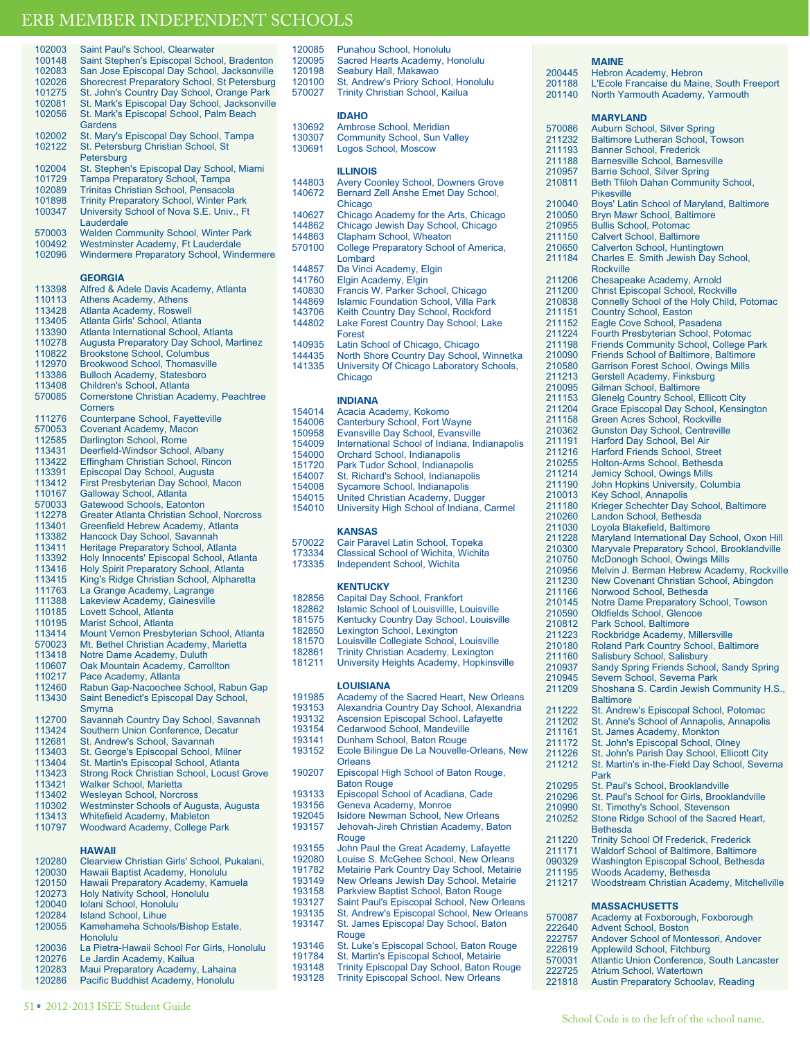| 102003 | Saint Paul's School, Clearwater                   |
|--------|---------------------------------------------------|
| 100148 | Saint Stephen's Episcopal School, Bradenton       |
| 102083 | San Jose Episcopal Day School, Jacksonville       |
| 102026 | Shorecrest Preparatory School, St Petersburg      |
|        |                                                   |
| 101275 | St. John's Country Day School, Orange Park        |
| 102081 | St. Mark's Episcopal Day School, Jacksonville     |
| 102056 | St. Mark's Episcopal School, Palm Beach           |
|        | Gardens                                           |
|        |                                                   |
| 102002 | St. Mary's Episcopal Day School, Tampa            |
| 102122 | St. Petersburg Christian School, St               |
|        | Petersburg                                        |
| 102004 |                                                   |
|        | St. Stephen's Episcopal Day School, Miami         |
| 101729 | <b>Tampa Preparatory School, Tampa</b>            |
| 102089 | Trinitas Christian School, Pensacola              |
| 101898 | <b>Trinity Preparatory School, Winter Park</b>    |
| 100347 | University School of Nova S.E. Univ., Ft          |
|        |                                                   |
|        | Lauderdale                                        |
| 570003 | <b>Walden Community School, Winter Park</b>       |
| 100492 | Westminster Academy, Ft Lauderdale                |
| 102096 | Windermere Preparatory School, Windermere         |
|        |                                                   |
|        |                                                   |
|        | <b>GEORGIA</b>                                    |
|        |                                                   |
| 113398 | Alfred & Adele Davis Academy, Atlanta             |
| 110113 | <b>Athens Academy, Athens</b>                     |
| 113428 | Atlanta Academy, Roswell                          |
| 113405 | Atlanta Girls' School, Atlanta                    |
|        |                                                   |
| 113390 | Atlanta International School, Atlanta             |
| 110278 | Augusta Preparatory Day School, Martinez          |
| 110822 | <b>Brookstone School, Columbus</b>                |
| 112970 | <b>Brookwood School, Thomasville</b>              |
|        |                                                   |
| 113386 | <b>Bulloch Academy, Statesboro</b>                |
| 113408 | Children's School, Atlanta                        |
| 570085 | Cornerstone Christian Academy, Peachtree          |
|        | <b>Corners</b>                                    |
|        |                                                   |
| 111276 | Counterpane School, Fayetteville                  |
| 570053 | Covenant Academy, Macon                           |
| 112585 | Darlington School, Rome                           |
| 113431 | Deerfield-Windsor School, Albany                  |
| 113422 |                                                   |
|        | Effingham Christian School, Rincon                |
| 113391 | Episcopal Day School, Augusta                     |
| 113412 | First Presbyterian Day School, Macon              |
| 110167 | <b>Galloway School, Atlanta</b>                   |
| 570033 | Gatewood Schools, Eatonton                        |
|        |                                                   |
| 112278 | <b>Greater Atlanta Christian School, Norcross</b> |
| 113401 | Greenfield Hebrew Academy, Atlanta                |
| 113382 | Hancock Day School, Savannah                      |
| 113411 | Heritage Preparatory School, Atlanta              |
|        |                                                   |
| 113392 | Holy Innocents' Episcopal School, Atlanta         |
| 113416 | Holy Spirit Preparatory School, Atlanta           |
| 113415 | King's Ridge Christian School, Alpharetta         |
| 111763 | La Grange Academy, Lagrange                       |
| 111388 | Lakeview Academy, Gainesville                     |
|        |                                                   |
| 110185 | Lovett School, Atlanta                            |
| 110195 | Marist School, Atlanta                            |
| 113414 | Mount Vernon Presbyterian School, Atlanta         |
| 570023 | Mt. Bethel Christian Academy, Marietta            |
|        | Notre Dame Academy, Duluth                        |
| 113418 |                                                   |
| 110607 | Oak Mountain Academy, Carrollton                  |
| 110217 | Pace Academy, Atlanta                             |
| 112460 | Rabun Gap-Nacoochee School, Rabun Gap             |
|        |                                                   |
| 113430 | Saint Benedict's Episcopal Day School,            |
|        | Smyrna                                            |
| 112700 | Savannah Country Day School, Savannah             |
| 113424 | Southern Union Conference, Decatur                |
| 112681 | St. Andrew's School, Savannah                     |
|        |                                                   |
| 113403 | St. George's Episcopal School, Milner             |
| 113404 | St. Martin's Episcopal School, Atlanta            |
| 113423 | <b>Strong Rock Christian School, Locust Grove</b> |
| 113421 |                                                   |
|        | <b>Walker School, Marietta</b>                    |
| 113402 | <b>Wesleyan School, Norcross</b>                  |
| 110302 | Westminster Schools of Augusta, Augusta           |
| 113413 | <b>Whitefield Academy, Mableton</b>               |
| 110797 | Woodward Academy, College Park                    |
|        |                                                   |
|        |                                                   |
|        | <b>HAWAII</b>                                     |

| 120198<br>120100<br>570027 | Seabury Hall, Makawao<br>St. Andrew's Priory School, Honolulu<br><b>Trinity Christian School, Kailua</b> |
|----------------------------|----------------------------------------------------------------------------------------------------------|
| 130692<br>130307<br>130691 | <b>IDAHO</b><br>Ambrose School, Meridian<br><b>Community School, Sun Valley</b><br>Logos School, Moscow  |
|                            | <b>ILLINOIS</b>                                                                                          |
| 144803                     | <b>Avery Coonley School, Downers Grove</b>                                                               |
| 140672                     | Bernard Zell Anshe Emet Day School,<br>Chicago                                                           |
| 140627                     | Chicago Academy for the Arts, Chicago                                                                    |
| 144862                     | Chicago Jewish Day School, Chicago                                                                       |
| 144863                     | Clapham School, Wheaton                                                                                  |
| 570100                     | College Preparatory School of America,<br>I ombard                                                       |
| 144857                     | Da Vinci Academy, Elgin                                                                                  |
| 141760                     | Elgin Academy, Elgin                                                                                     |
| 140830                     | Francis W. Parker School, Chicago                                                                        |
| 144869                     | <b>Islamic Foundation School, Villa Park</b>                                                             |
| 143706                     | Keith Country Day School, Rockford                                                                       |
| 144802                     | Lake Forest Country Day School, Lake<br><b>Forest</b>                                                    |
| 140935                     | Latin School of Chicago, Chicago                                                                         |
| 144435                     | North Shore Country Day School, Winnetka                                                                 |

120085 Punahou School, Honolulu<br>120095 Sacred Hearts Academy H 120095 Sacred Hearts Academy, Honolulu<br>120198 Seabury Hall Makawao

141335 University Of Chicago Laboratory Schools, Chicago

|        | <b>KANSAS</b>                                 |
|--------|-----------------------------------------------|
| 154010 | University High School of Indiana, Carmel     |
| 154015 | United Christian Academy, Dugger              |
| 154008 | Sycamore School, Indianapolis                 |
| 154007 | St. Richard's School, Indianapolis            |
| 151720 | Park Tudor School, Indianapolis               |
| 154000 | <b>Orchard School, Indianapolis</b>           |
| 154009 | International School of Indiana, Indianapolis |
| 150958 | Evansville Day School, Evansville             |
| 154006 | <b>Canterbury School, Fort Wayne</b>          |
| 154014 | Acacia Academy, Kokomo                        |

| 570022 | Cair Paravel Latin School, Topeka    |
|--------|--------------------------------------|
| 173334 | Classical School of Wichita, Wichita |

| 73334 | Classical School of Wichita. Wichit |  |  |  |  |
|-------|-------------------------------------|--|--|--|--|
|-------|-------------------------------------|--|--|--|--|

173335 Independent School, Wichita

| 182856 | Capital Day School, Frankfort |  |
|--------|-------------------------------|--|
|        |                               |  |

- 
- 
- 
- 
- 
- University Heights Academy, Hopkinsville

### **LOUISIANA**

- 191985 Academy of the Sacred Heart, New Orleans<br>193153 Alexandria Country Day School, Alexandria
- 193153 Alexandria Country Day School, Alexandria
- 193132 Ascension Episcopal School, Lafayette<br>193154 Cedarwood School, Mandeville
	- Cedarwood School, Mandeville
- 193141 Dunham School, Baton Rouge<br>193152 Ecole Bilingue De La Nouvelle
- Ecole Bilingue De La Nouvelle-Orleans, New **Orleans**
- 190207 Episcopal High School of Baton Rouge, Baton Rouge
	- 193133 Episcopal School of Acadiana, Cade<br>193156 Geneva Academy Monroe
	- 193156 Geneva Academy, Monroe<br>192045 Isidore Newman School Ne
		- Isidore Newman School, New Orleans
	- 193157 Jehovah-Jireh Christian Academy, Baton **Rouge**
	- 193155 John Paul the Great Academy, Lafayette<br>192080 Louise S. McGehee School, New Orlean
	- 192080 Louise S. McGehee School, New Orleans<br>191782 Metairie Park Country Day School, Metairi
	- 191782 Metairie Park Country Day School, Metairie<br>193149 New Orleans Jewish Day School Metairie
		-
	- 193149 New Orleans Jewish Day School, Metairie 193158 Parkview Baptist School, Baton Rouge
	- 193127 Saint Paul's Episcopal School, New Orleans
	- 193135 St. Andrew's Episcopal School, New Orleans<br>193147 St. James Episcopal Day School, Baton
	- St. James Episcopal Day School, Baton
	- **Rouge**
	- 193146 St. Luke's Episcopal School, Baton Rouge<br>191784 St. Martin's Episcopal School, Metairie
	- 191784 St. Martin's Episcopal School, Metairie<br>193148 Trinity Episcopal Day School, Baton Re
	- 193148 Trinity Episcopal Day School, Baton Rouge Trinity Episcopal School, New Orleans
	-

# **MAINE**

200445 Hebron Academy, Hebron<br>201188 L'Ecole Francaise du Main 201188 L'Ecole Francaise du Maine, South Freeport North Yarmouth Academy, Yarmouth **MARYLAND** 570086 Auburn School, Silver Spring<br>211232 Baltimore Lutheran School, T 211232 Baltimore Lutheran School, Towson 211193 Banner School, Frederick<br>211188 Barnesville School, Barne 211188 Barnesville School, Barnesville<br>210957 Barrie School, Silver Spring 210957 Barrie School, Silver Spring<br>210811 Beth Tfiloh Dahan Commun Beth Tfiloh Dahan Community School, Pikesville 210040 Boys' Latin School of Maryland, Baltimore 210050 Bryn Mawr School, Baltimore<br>210955 Bullis School, Potomac 210955 Bullis School, Potomac<br>211150 Calvert School Baltimo 211150 Calvert School, Baltimore<br>210650 Calverton School, Hunting 210650 Calverton School, Huntingtown<br>211184 Charles E. Smith Jewish Day S Charles E. Smith Jewish Day School, Rockville 211206 Chesapeake Academy, Arnold<br>211200 Christ Episcopal School, Rocky 211200 Christ Episcopal School, Rockville<br>210838 Connelly School of the Holy Child 210838 Connelly School of the Holy Child, Potomac 211151 Country School, Easton<br>211152 Eagle Cove School, Pas 211152 Eagle Cove School, Pasadena<br>211224 Fourth Presbyterian School Po 211224 Fourth Presbyterian School, Potomac<br>211198 Friends Community School, College P Friends Community School, College Park 210090 Friends School of Baltimore, Baltimore<br>210580 Garrison Forest School Owings Mills 210580 Garrison Forest School, Owings Mills<br>211213 Gerstell Academy, Finksburg 211213 Gerstell Academy, Finksburg<br>210095 Gilman School, Baltimore 210095 Gilman School, Baltimore<br>211153 Glenelg Country School, B 211153 Glenelg Country School, Ellicott City<br>211204 Grace Episcopal Day School, Kensir 211204 Grace Episcopal Day School, Kensington 211158 Green Acres School, Rockville<br>210362 Gunston Day School, Centrevil 210362 Gunston Day School, Centreville 211191 Harford Day School, Bel Air 211216 Harford Friends School, Street 210255 Holton-Arms School, Bethesda<br>211214 Jemicy School, Owings Mills 211214 Jemicy School, Owings Mills<br>211190 John Hopkins University, Co 211190 John Hopkins University, Columbia<br>210013 Key School, Annapolis 210013 Key School, Annapolis<br>211180 Krieger Schechter Dav 211180 Krieger Schechter Day School, Baltimore<br>210260 Landon School, Bethesda 210260 Landon School, Bethesda<br>211030 Lovola Blakefield, Baltimor 211030 Loyola Blakefield, Baltimore<br>211228 Maryland International Day 211228 Maryland International Day School, Oxon Hill<br>210300 Maryvale Preparatory School, Brooklandville 210300 Maryvale Preparatory School, Brooklandville<br>210750 McDonogh School, Owings Mills 210750 McDonogh School, Owings Mills<br>210956 Melvin J. Berman Hebrew Acade 210956 Melvin J. Berman Hebrew Academy, Rockville<br>211230 New Covenant Christian School, Abingdon 211230 New Covenant Christian School, Abingdon 211166 Norwood School, Bethesda<br>210145 Notre Dame Prenaratory Sc 210145 Notre Dame Preparatory School, Towson<br>210590 Oldfields School, Glencoe 210590 Oldfields School, Glencoe<br>210812 Park School, Baltimore 210812 Park School, Baltimore<br>211223 Rockbridge Academy, M 211223 Rockbridge Academy, Millersville<br>210180 Roland Park Country School, Balt Roland Park Country School, Baltimore 211160 Salisbury School, Salisbury<br>210937 Sandy Spring Friends Schoo 210937 Sandy Spring Friends School, Sandy Spring<br>210945 Severn School, Severna Park 210945 Severn School, Severna Park<br>211209 Shoshana S. Cardin Jewish C Shoshana S. Cardin Jewish Community H.S., **Baltimore** 211222 St. Andrew's Episcopal School, Potomac<br>211202 St. Anne's School of Annapolis. Annapoli 211202 St. Anne's School of Annapolis, Annapolis<br>211161 St. James Academy, Monkton 211161 St. James Academy, Monkton<br>211172 St. John's Episcopal School. C 211172 St. John's Episcopal School, Olney<br>211226 St. John's Parish Day School, Ellico 211226 St. John's Parish Day School, Ellicott City<br>211212 St. Martin's in-the-Field Day School, Seve St. Martin's in-the-Field Day School, Severna Park 210295 St. Paul's School, Brooklandville<br>210296 St. Paul's School for Girls, Brook 210296 St. Paul's School for Girls, Brooklandville<br>210990 St. Timothy's School. Stevenson 210990 St. Timothy's School, Stevenson<br>210252 Stone Ridge School of the Sacre Stone Ridge School of the Sacred Heart, Bethesda 211220 Trinity School Of Frederick, Frederick<br>211171 Waldorf School of Baltimore, Baltimor 211171 Waldorf School of Baltimore, Baltimore 090329 Washington Episcopal School, Bethesda<br>211195 Woods Academy, Bethesda 211195 Woods Academy, Bethesda<br>211217 Woodstream Christian Acad Woodstream Christian Academy, Mitchellville **MASSACHUSETTS** 570087 Academy at Foxborough, Foxborough 222640 Advent School, Boston<br>222757 Andover School of Mon 222757 Andover School of Montessori, Andover<br>222619 Applewild School, Fitchburg 222619 Applewild School, Fitchburg 570031 Atlantic Union Conference, South Lancaster

2012-2013 ISEE Student Guide O 51

221818 Austin Preparatory Schoolav, Reading

222725 Atrium School, Watertown

**KENTUCKY** 182862 Islamic School of Louisville, Louisville<br>181575 Kentucky Country Day School, Louisvi 181575 Kentucky Country Day School, Louisville<br>182850 Lexington School Lexington 182850 Lexington School, Lexington<br>181570 Louisville Collegiate School 181570 Louisville Collegiate School, Louisville<br>182861 Trinity Christian Academy, Lexington 182861 Trinity Christian Academy, Lexington<br>181211 University Heights Academy, Hopkins

Pacific Buddhist Academy, Honolulu

- 
- 
- 
- 
- 120280 Clearview Christian Girls' School, Pukalani,<br>120030 Hawaii Baptist Academy, Honolulu 120030 Hawaii Baptist Academy, Honolulu<br>120150 Hawaii Preparatory Academy, Kam 120150 Hawaii Preparatory Academy, Kamuela<br>120273 Holy Nativity School, Honolulu 120273 Holy Nativity School, Honolulu<br>120040 Iolani School, Honolulu 120040 Iolani School, Honolulu<br>120284 Island School, Lihue 120284 Island School, Lihue<br>120055 Kamehameha Schoo Kamehameha Schools/Bishop Estate, Honolulu 120036 La Pietra-Hawaii School For Girls, Honolulu<br>120276 Le Jardin Academy, Kailua 120276 Le Jardin Academy, Kailua<br>120283 Maui Preparatory Academy 120283 Maui Preparatory Academy, Lahaina

- -

### **INDIANA**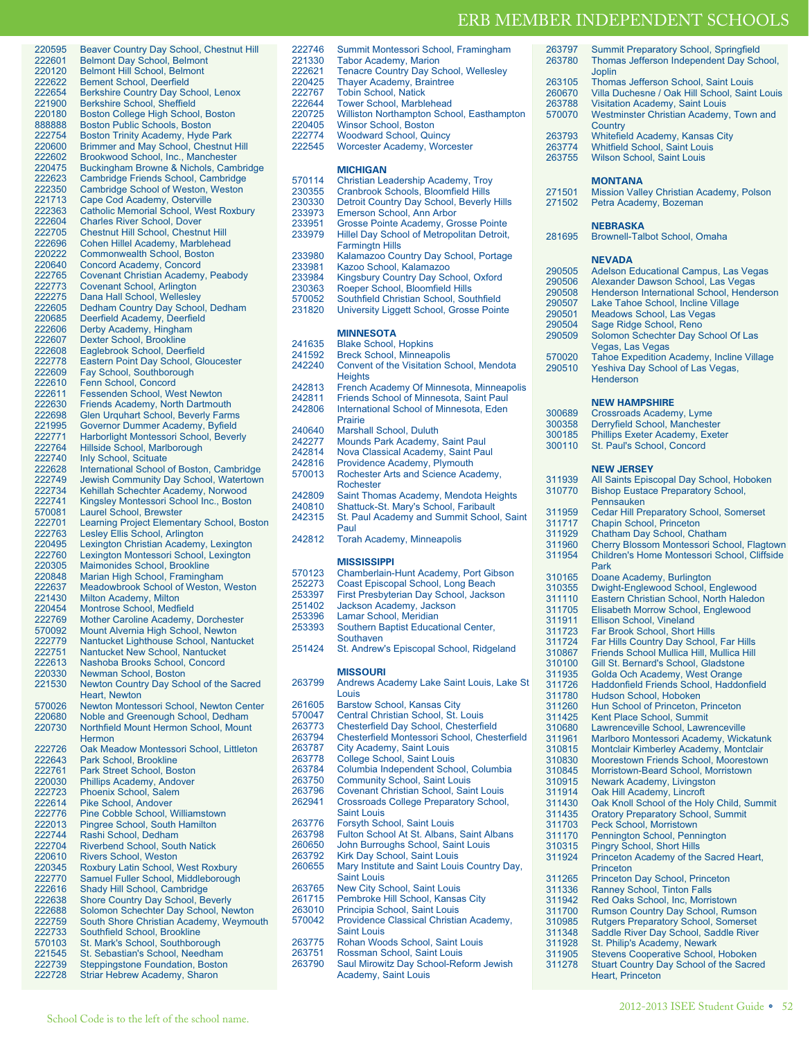Joplin

263797 Summit Preparatory School, Springfield<br>263780 Thomas Jefferson Independent Day Sch

Thomas Jefferson Independent Day School,

| 220595           | Beaver Country Day School, Chestnut Hill                                       |
|------------------|--------------------------------------------------------------------------------|
| 222601           | <b>Belmont Day School, Belmont</b>                                             |
| 220120           | <b>Belmont Hill School, Belmont</b>                                            |
| 222622           | <b>Bement School, Deerfield</b>                                                |
| 222654           | <b>Berkshire Country Day School, Lenox</b>                                     |
| 221900           | <b>Berkshire School, Sheffield</b>                                             |
| 220180           | Boston College High School, Boston                                             |
| 888888           | <b>Boston Public Schools, Boston</b>                                           |
| 222754           | Boston Trinity Academy, Hyde Park                                              |
| 220600           | Brimmer and May School, Chestnut Hill                                          |
| 222602           | Brookwood School, Inc., Manchester                                             |
| 220475           | Buckingham Browne & Nichols, Cambridge                                         |
| 222623           | Cambridge Friends School, Cambridge                                            |
| 222350           | <b>Cambridge School of Weston, Weston</b>                                      |
| 221713           | Cape Cod Academy, Osterville                                                   |
| 222363           | <b>Catholic Memorial School, West Roxbury</b>                                  |
| 222604           | <b>Charles River School, Dover</b>                                             |
| 222705<br>222696 | <b>Chestnut Hill School, Chestnut Hill</b><br>Cohen Hillel Academy, Marblehead |
| 220222           | <b>Commonwealth School, Boston</b>                                             |
| 220640           | Concord Academy, Concord                                                       |
| 222765           | Covenant Christian Academy, Peabody                                            |
| 222773           | Covenant School, Arlington                                                     |
| 222275           | Dana Hall School, Wellesley                                                    |
| 222605           | Dedham Country Day School, Dedham                                              |
| 220685           | Deerfield Academy, Deerfield                                                   |
| 222606           | Derby Academy, Hingham                                                         |
| 222607           | <b>Dexter School, Brookline</b>                                                |
| 222608           | Eaglebrook School, Deerfield                                                   |
| 222778           | <b>Eastern Point Day School, Gloucester</b>                                    |
| 222609           | Fay School, Southborough                                                       |
| 222610           | Fenn School, Concord                                                           |
| 222611           | <b>Fessenden School, West Newton</b>                                           |
| 222630           | <b>Friends Academy, North Dartmouth</b>                                        |
| 222698           | <b>Glen Urquhart School, Beverly Farms</b>                                     |
| 221995           | Governor Dummer Academy, Byfield                                               |
| 222771           | Harborlight Montessori School, Beverly                                         |
| 222764           | Hillside School, Marlborough                                                   |
| 222740           | <b>Inly School, Scituate</b>                                                   |
| 222628           | International School of Boston, Cambridge                                      |
| 222749           | Jewish Community Day School, Watertown                                         |
| 222734           | Kehillah Schechter Academy, Norwood                                            |
| 222741           | Kingsley Montessori School Inc., Boston                                        |
| 570081           | <b>Laurel School, Brewster</b>                                                 |
|                  |                                                                                |
| 222701           | Learning Project Elementary School, Boston                                     |
| 222763           | Lesley Ellis School, Arlington                                                 |
| 220495           | Lexington Christian Academy, Lexington                                         |
| 222760           | Lexington Montessori School, Lexington                                         |
| 220305           | Maimonides School, Brookline                                                   |
| 220848           | Marian High School, Framingham                                                 |
| 222637           | <b>Meadowbrook School of Weston, Weston</b>                                    |
| 221430           | Milton Academy, Milton                                                         |
| 220454           | <b>Montrose School, Medfield</b>                                               |
| 222769           | Mother Caroline Academy, Dorchester                                            |
| 570092           | Mount Alvernia High School, Newton                                             |
| 222779           | Nantucket Lighthouse School, Nantucket                                         |
| 222751           | Nantucket New School, Nantucket                                                |
| 222613           | Nashoba Brooks School, Concord                                                 |
| 220330           | Newman School, Boston                                                          |
| 221530           | Newton Country Day School of the Sacred                                        |
|                  | <b>Heart. Newton</b>                                                           |
| 570026           | Newton Montessori School, Newton Center                                        |
| 220680           | Noble and Greenough School, Dedham                                             |
| 220730           | Northfield Mount Hermon School, Mount                                          |
|                  | <b>Hermon</b>                                                                  |
| 222726           | Oak Meadow Montessori School, Littleton                                        |
| 222643           | Park School, Brookline                                                         |
| 222761           | Park Street School, Boston                                                     |
| 220030           | <b>Phillips Academy, Andover</b>                                               |
| 222723           | Phoenix School, Salem                                                          |
| 222614           | <b>Pike School, Andover</b>                                                    |
| 222776           | Pine Cobble School, Williamstown                                               |
| 222013           | Pingree School, South Hamilton                                                 |
| 222744           | Rashi School, Dedham                                                           |
| 222704           | <b>Riverbend School, South Natick</b>                                          |
| 220610           | Rivers School, Weston                                                          |
| 220345           | Roxbury Latin School, West Roxbury                                             |
| 222770           | Samuel Fuller School, Middleborough                                            |
| 222616           | Shady Hill School, Cambridge                                                   |
| 222638           | <b>Shore Country Day School, Beverly</b>                                       |
| 222688           | Solomon Schechter Day School, Newton                                           |
| 222759           | South Shore Christian Academy, Weymouth                                        |
| 222733<br>570103 | Southfield School, Brookline                                                   |
| 221545           | St. Mark's School, Southborough                                                |
| 222739           | St. Sebastian's School, Needham<br><b>Steppingstone Foundation, Boston</b>     |

| 220425 | <b>Thayer Academy, Braintree</b>                               | 263105           | Thomas Jefferson School, Saint Louis                               |
|--------|----------------------------------------------------------------|------------------|--------------------------------------------------------------------|
| 222767 | <b>Tobin School, Natick</b>                                    | 260670           | Villa Duchesne / Oak Hill School, Saint Louis                      |
| 222644 | <b>Tower School, Marblehead</b>                                | 263788           | <b>Visitation Academy, Saint Louis</b>                             |
| 220725 | Williston Northampton School, Easthampton                      | 570070           | Westminster Christian Academy, Town and                            |
| 220405 | Winsor School, Boston                                          |                  | Country                                                            |
| 222774 | <b>Woodward School, Quincy</b>                                 | 263793           | Whitefield Academy, Kansas City                                    |
| 222545 | Worcester Academy, Worcester                                   | 263774           | <b>Whitfield School, Saint Louis</b>                               |
|        |                                                                | 263755           | Wilson School, Saint Louis                                         |
|        | <b>MICHIGAN</b>                                                |                  |                                                                    |
| 570114 | Christian Leadership Academy, Troy                             |                  | <b>MONTANA</b>                                                     |
| 230355 | Cranbrook Schools, Bloomfield Hills                            | 271501           | Mission Valley Christian Academy, Polson                           |
| 230330 | Detroit Country Day School, Beverly Hills                      | 271502           | Petra Academy, Bozeman                                             |
| 233973 | Emerson School, Ann Arbor                                      |                  |                                                                    |
| 233951 | Grosse Pointe Academy, Grosse Pointe                           |                  | <b>NEBRASKA</b>                                                    |
| 233979 | Hillel Day School of Metropolitan Detroit,                     | 281695           | Brownell-Talbot School, Omaha                                      |
|        | <b>Farmingtn Hills</b>                                         |                  |                                                                    |
| 233980 | Kalamazoo Country Day School, Portage                          |                  | <b>NEVADA</b>                                                      |
| 233981 | Kazoo School, Kalamazoo                                        | 290505           | Adelson Educational Campus, Las Vegas                              |
| 233984 | Kingsbury Country Day School, Oxford                           | 290506           | Alexander Dawson School, Las Vegas                                 |
| 230363 | Roeper School, Bloomfield Hills                                | 290508           | Henderson International School, Henderson                          |
| 570052 | Southfield Christian School, Southfield                        | 290507           | Lake Tahoe School, Incline Village                                 |
| 231820 | University Liggett School, Grosse Pointe                       | 290501           | Meadows School, Las Vegas                                          |
|        |                                                                | 290504           | Sage Ridge School, Reno                                            |
|        | <b>MINNESOTA</b>                                               | 290509           | Solomon Schechter Day School Of Las                                |
| 241635 | <b>Blake School, Hopkins</b>                                   |                  | Vegas, Las Vegas                                                   |
| 241592 | <b>Breck School, Minneapolis</b>                               | 570020           | <b>Tahoe Expedition Academy, Incline Village</b>                   |
| 242240 | Convent of the Visitation School, Mendota                      | 290510           | Yeshiva Day School of Las Vegas,                                   |
|        | <b>Heights</b>                                                 |                  | Henderson                                                          |
| 242813 | French Academy Of Minnesota, Minneapolis                       |                  |                                                                    |
| 242811 | Friends School of Minnesota, Saint Paul                        |                  | <b>NEW HAMPSHIRE</b>                                               |
| 242806 | International School of Minnesota, Eden                        | 300689           | Crossroads Academy, Lyme                                           |
|        | Prairie                                                        | 300358           |                                                                    |
| 240640 | Marshall School, Duluth                                        |                  | Derryfield School, Manchester<br>Phillips Exeter Academy, Exeter   |
| 242277 | Mounds Park Academy, Saint Paul                                | 300185<br>300110 |                                                                    |
| 242814 | Nova Classical Academy, Saint Paul                             |                  | St. Paul's School, Concord                                         |
| 242816 | Providence Academy, Plymouth                                   |                  |                                                                    |
| 570013 | Rochester Arts and Science Academy,                            |                  | <b>NEW JERSEY</b>                                                  |
|        | Rochester                                                      | 311939           | All Saints Episcopal Day School, Hoboken                           |
| 242809 | Saint Thomas Academy, Mendota Heights                          | 310770           | <b>Bishop Eustace Preparatory School,</b>                          |
| 240810 | Shattuck-St. Mary's School, Faribault                          |                  | Pennsauken                                                         |
| 242315 | St. Paul Academy and Summit School, Saint                      | 311959           | <b>Cedar Hill Preparatory School, Somerset</b>                     |
|        | Paul                                                           | 311717           | Chapin School, Princeton                                           |
| 242812 | <b>Torah Academy, Minneapolis</b>                              | 311929           | Chatham Day School, Chatham                                        |
|        |                                                                | 311960           | Cherry Blossom Montessori School, Flagtow                          |
|        | <b>MISSISSIPPI</b>                                             | 311954           | Children's Home Montessori School, Cliffside                       |
| 570123 | Chamberlain-Hunt Academy, Port Gibson                          |                  | Park                                                               |
| 252273 | Coast Episcopal School, Long Beach                             | 310165           | Doane Academy, Burlington                                          |
| 253397 | First Presbyterian Day School, Jackson                         | 310355           | Dwight-Englewood School, Englewood                                 |
| 251402 | Jackson Academy, Jackson                                       | 311110           | Eastern Christian School, North Haledon                            |
| 253396 | Lamar School, Meridian                                         | 311705           | Elisabeth Morrow School, Englewood                                 |
| 253393 | Southern Baptist Educational Center,                           | 311911           | <b>Ellison School, Vineland</b>                                    |
|        | Southaven                                                      | 311723           | Far Brook School, Short Hills                                      |
| 251424 | St. Andrew's Episcopal School, Ridgeland                       | 311724           | Far Hills Country Day School, Far Hills                            |
|        |                                                                | 310867           | Friends School Mullica Hill, Mullica Hill                          |
|        |                                                                | 310100           | Gill St. Bernard's School, Gladstone                               |
|        | <b>MISSOURI</b>                                                | 311935           | Golda Och Academy, West Orange                                     |
| 263799 | Andrews Academy Lake Saint Louis, Lake St                      | 311726           | Haddonfield Friends School, Haddonfield                            |
|        | Louis                                                          | 311780           | Hudson School, Hoboken                                             |
| 261605 | <b>Barstow School, Kansas City</b>                             | 311260           | Hun School of Princeton, Princeton                                 |
| 570047 | Central Christian School, St. Louis                            | 311425           | Kent Place School, Summit                                          |
| 263773 | Chesterfield Day School, Chesterfield                          | 310680           | Lawrenceville School, Lawrenceville                                |
| 263794 | Chesterfield Montessori School, Chesterfield                   | 311961           | Marlboro Montessori Academy, Wickatunk                             |
| 263787 | City Academy, Saint Louis                                      | 310815           | Montclair Kimberley Academy, Montclair                             |
| 263778 | College School, Saint Louis                                    | 310830           | Moorestown Friends School, Moorestown                              |
| 263784 | Columbia Independent School, Columbia                          | 310845           | Morristown-Beard School, Morristown                                |
| 263750 | <b>Community School, Saint Louis</b>                           | 310915           | Newark Academy, Livingston                                         |
| 263796 | <b>Covenant Christian School, Saint Louis</b>                  | 311914           | Oak Hill Academy, Lincroft                                         |
| 262941 | <b>Crossroads College Preparatory School,</b>                  | 311430           | Oak Knoll School of the Holy Child, Summit                         |
|        | <b>Saint Louis</b>                                             | 311435           | <b>Oratory Preparatory School, Summit</b>                          |
| 263776 |                                                                | 311703           | Peck School, Morristown                                            |
|        | Forsyth School, Saint Louis                                    |                  |                                                                    |
| 263798 | Fulton School At St. Albans, Saint Albans                      | 311170           | Pennington School, Pennington                                      |
| 260650 | John Burroughs School, Saint Louis                             | 310315           | <b>Pingry School, Short Hills</b>                                  |
| 263792 | Kirk Day School, Saint Louis                                   | 311924           | Princeton Academy of the Sacred Heart,                             |
| 260655 | Mary Institute and Saint Louis Country Day,                    |                  | Princeton                                                          |
|        | <b>Saint Louis</b>                                             | 311265           | Princeton Day School, Princeton                                    |
| 263765 | New City School, Saint Louis                                   | 311336           | <b>Ranney School, Tinton Falls</b>                                 |
| 261715 | Pembroke Hill School, Kansas City                              | 311942           | Red Oaks School, Inc, Morristown                                   |
| 263010 | Principia School, Saint Louis                                  | 311700           | Rumson Country Day School, Rumson                                  |
| 570042 | Providence Classical Christian Academy,                        | 310985           | <b>Rutgers Preparatory School, Somerset</b>                        |
|        | <b>Saint Louis</b>                                             | 311348           | Saddle River Day School, Saddle River                              |
| 263775 | Rohan Woods School, Saint Louis                                | 311928           | St. Philip's Academy, Newark                                       |
| 263751 | Rossman School, Saint Louis                                    | 311905           | Stevens Cooperative School, Hoboken                                |
| 263790 | Saul Mirowitz Day School-Reform Jewish<br>Academy, Saint Louis | 311278           | <b>Stuart Country Day School of the Sacred</b><br>Heart, Princeton |

222746 Summit Montessori School, Framingham<br>221330 Tabor Academy, Marion<br>222621 Tenacre Country Day School, Wellesley 221330 Tabor Academy, Marion 222621 Tenacre Country Day School, Wellesley

220425 Thayer Academy, Braintree<br>222767 Tobin School, Natick **Tobin School, Natick** 

| 271501<br>271502                                                                       | Mission Valley Christian Academy, Polson<br>Petra Academy, Bozeman                                                                                                                                                                                                                                                                                                                                             |
|----------------------------------------------------------------------------------------|----------------------------------------------------------------------------------------------------------------------------------------------------------------------------------------------------------------------------------------------------------------------------------------------------------------------------------------------------------------------------------------------------------------|
| 281695                                                                                 | <b>NEBRASKA</b><br><b>Brownell-Talbot School, Omaha</b>                                                                                                                                                                                                                                                                                                                                                        |
| 290505<br>290506<br>290508<br>290507<br>290501<br>290504<br>290509<br>570020<br>290510 | <b>NEVADA</b><br><b>Adelson Educational Campus, Las Vegas</b><br>Alexander Dawson School, Las Vegas<br>Henderson International School, Henderson<br>Lake Tahoe School, Incline Village<br>Meadows School, Las Vegas<br>Sage Ridge School, Reno<br>Solomon Schechter Day School Of Las<br>Vegas, Las Vegas<br><b>Tahoe Expedition Academy, Incline Village</b><br>Yeshiva Day School of Las Vegas,<br>Henderson |
| 300689                                                                                 | <b>NEW HAMPSHIRE</b><br>Crossroads Academy, Lyme                                                                                                                                                                                                                                                                                                                                                               |
| 300358<br>300185                                                                       | Derryfield School, Manchester<br>Phillips Exeter Academy, Exeter                                                                                                                                                                                                                                                                                                                                               |
| 300110                                                                                 | St. Paul's School, Concord                                                                                                                                                                                                                                                                                                                                                                                     |
|                                                                                        | <b>NEW JERSEY</b>                                                                                                                                                                                                                                                                                                                                                                                              |
| 311939<br>310770                                                                       | All Saints Episcopal Day School, Hoboken<br><b>Bishop Eustace Preparatory School,</b><br>Pennsauken                                                                                                                                                                                                                                                                                                            |
| 311959                                                                                 | Cedar Hill Preparatory School, Somerset                                                                                                                                                                                                                                                                                                                                                                        |
| 311717<br>311929                                                                       | Chapin School, Princeton<br>Chatham Day School, Chatham                                                                                                                                                                                                                                                                                                                                                        |
| 311960                                                                                 | Cherry Blossom Montessori School, Flagtown                                                                                                                                                                                                                                                                                                                                                                     |
| 311954                                                                                 | Children's Home Montessori School, Cliffside<br>Park                                                                                                                                                                                                                                                                                                                                                           |
| 310165                                                                                 | Doane Academy, Burlington                                                                                                                                                                                                                                                                                                                                                                                      |
| 310355                                                                                 | Dwight-Englewood School, Englewood                                                                                                                                                                                                                                                                                                                                                                             |
| 311110<br>311705                                                                       | Eastern Christian School, North Haledon<br>Elisabeth Morrow School, Englewood                                                                                                                                                                                                                                                                                                                                  |
| 311911                                                                                 | Ellison School, Vineland                                                                                                                                                                                                                                                                                                                                                                                       |
| 311723<br>311724                                                                       | Far Brook School, Short Hills<br>Far Hills Country Day School, Far Hills                                                                                                                                                                                                                                                                                                                                       |
| 310867                                                                                 | Friends School Mullica Hill, Mullica Hill                                                                                                                                                                                                                                                                                                                                                                      |
| 310100                                                                                 | Gill St. Bernard's School, Gladstone                                                                                                                                                                                                                                                                                                                                                                           |
| 311935<br>311726                                                                       | Golda Och Academy, West Orange<br>Haddonfield Friends School, Haddonfield                                                                                                                                                                                                                                                                                                                                      |
| 311780                                                                                 | Hudson School, Hoboken                                                                                                                                                                                                                                                                                                                                                                                         |
| 311260                                                                                 | Hun School of Princeton, Princeton                                                                                                                                                                                                                                                                                                                                                                             |
| 311425<br>310680                                                                       | Kent Place School, Summit<br>Lawrenceville School, Lawrenceville                                                                                                                                                                                                                                                                                                                                               |
| 311961                                                                                 | Marlboro Montessori Academy, Wickatunk                                                                                                                                                                                                                                                                                                                                                                         |
| 310815<br>310830                                                                       | Montclair Kimberley Academy, Montclair<br>Moorestown Friends School, Moorestown                                                                                                                                                                                                                                                                                                                                |
| 310845                                                                                 | Morristown-Beard School, Morristown                                                                                                                                                                                                                                                                                                                                                                            |
| 310915                                                                                 | <b>Newark Academy, Livingston</b>                                                                                                                                                                                                                                                                                                                                                                              |
| 311914<br>311430                                                                       | Oak Hill Academy, Lincroft<br>Oak Knoll School of the Holy Child, Summit                                                                                                                                                                                                                                                                                                                                       |
| 311435                                                                                 | <b>Oratory Preparatory School, Summit</b>                                                                                                                                                                                                                                                                                                                                                                      |
| 311703                                                                                 | Peck School, Morristown                                                                                                                                                                                                                                                                                                                                                                                        |
| 311170<br>310315                                                                       | Pennington School, Pennington<br><b>Pingry School, Short Hills</b>                                                                                                                                                                                                                                                                                                                                             |
| 311924                                                                                 | Princeton Academy of the Sacred Heart,                                                                                                                                                                                                                                                                                                                                                                         |
| 311265                                                                                 | Princeton<br>Princeton Day School, Princeton                                                                                                                                                                                                                                                                                                                                                                   |
| 311336                                                                                 | <b>Ranney School, Tinton Falls</b>                                                                                                                                                                                                                                                                                                                                                                             |
| 311942                                                                                 | Red Oaks School, Inc, Morristown                                                                                                                                                                                                                                                                                                                                                                               |
| 311700<br>310985                                                                       | Rumson Country Day School, Rumson<br><b>Rutgers Preparatory School, Somerset</b>                                                                                                                                                                                                                                                                                                                               |
| 311348                                                                                 | Saddle River Day School, Saddle River                                                                                                                                                                                                                                                                                                                                                                          |
| 311928<br>311905                                                                       | St. Philip's Academy, Newark                                                                                                                                                                                                                                                                                                                                                                                   |
| 311278                                                                                 | <b>Stevens Cooperative School, Hoboken</b><br>Stuart Country Day School of the Sacred                                                                                                                                                                                                                                                                                                                          |
|                                                                                        | <b>Heart. Princeton</b>                                                                                                                                                                                                                                                                                                                                                                                        |
|                                                                                        |                                                                                                                                                                                                                                                                                                                                                                                                                |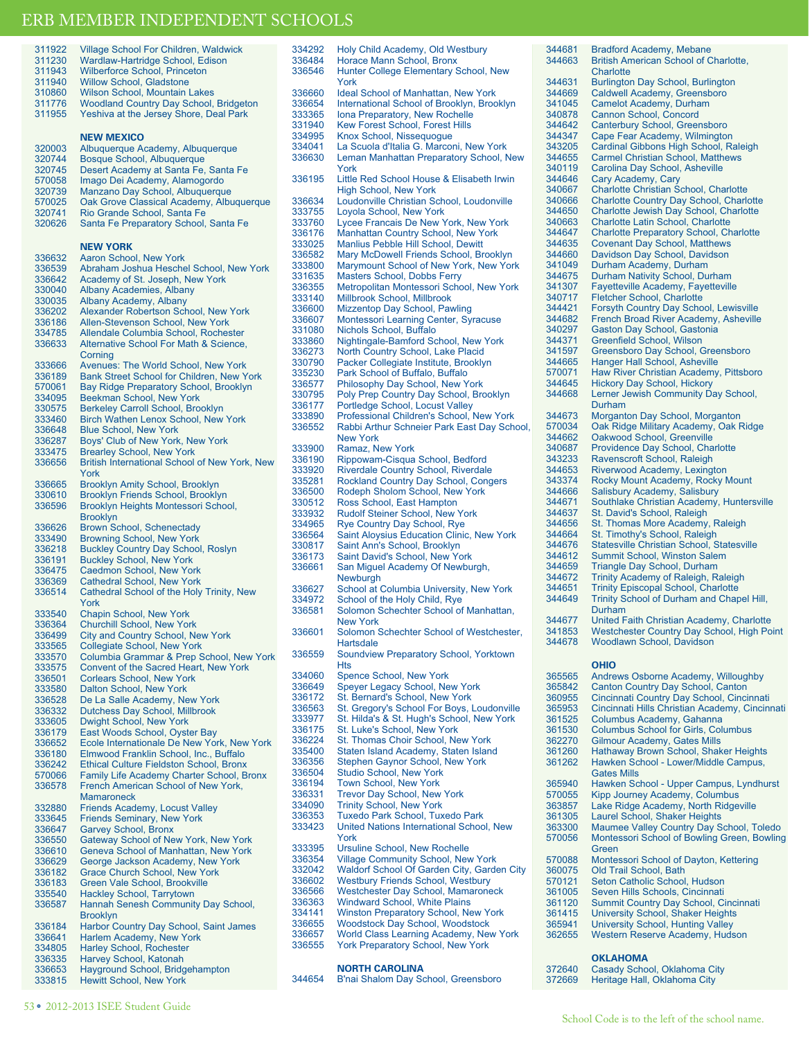| 311922           | <b>Village School For Children, Waldwick</b>                                             |
|------------------|------------------------------------------------------------------------------------------|
| 311230           | Wardlaw-Hartridge School, Edison                                                         |
| 311943           | <b>Wilberforce School, Princeton</b>                                                     |
| 311940           | <b>Willow School, Gladstone</b>                                                          |
| 310860           | <b>Wilson School, Mountain Lakes</b>                                                     |
| 311776           | <b>Woodland Country Day School, Bridgeton</b>                                            |
| 311955           | Yeshiva at the Jersey Shore, Deal Park                                                   |
|                  |                                                                                          |
|                  | <b>NEW MEXICO</b>                                                                        |
|                  |                                                                                          |
| 320003           | Albuquerque Academy, Albuquerque                                                         |
| 320744           | Bosque School, Albuquerque                                                               |
| 320745           | Desert Academy at Santa Fe, Santa Fe<br>Imago Dei Academy, Alamogordo                    |
| 570058           | Manzano Day School, Albuquerque                                                          |
| 320739           |                                                                                          |
| 570025<br>320741 | Oak Grove Classical Academy, Albuquerque<br>Rio Grande School, Santa Fe                  |
| 320626           | Santa Fe Preparatory School, Santa Fe                                                    |
|                  |                                                                                          |
|                  | <b>NEW YORK</b>                                                                          |
| 336632           | Aaron School, New York                                                                   |
| 336539           | Abraham Joshua Heschel School, New York                                                  |
| 336642           | Academy of St. Joseph, New York                                                          |
| 330040           | <b>Albany Academies, Albany</b>                                                          |
| 330035           | Albany Academy, Albany                                                                   |
| 336202           | Alexander Robertson School, New York                                                     |
| 336186           | Allen-Stevenson School, New York                                                         |
| 334785           | Allendale Columbia School. Rochester                                                     |
| 336633           | Alternative School For Math & Science.                                                   |
|                  | Corning                                                                                  |
| 333666           | Avenues: The World School, New York                                                      |
| 336189           | Bank Street School for Children, New York                                                |
| 570061           | Bay Ridge Preparatory School, Brooklyn                                                   |
| 334095           | Beekman School, New York                                                                 |
| 330575           | Berkeley Carroll School, Brooklyn                                                        |
| 333460           | <b>Birch Wathen Lenox School, New York</b>                                               |
| 336648           | <b>Blue School, New York</b>                                                             |
| 336287           | Boys' Club of New York, New York                                                         |
| 333475           | <b>Brearley School, New York</b>                                                         |
| 336656           | British International School of New York, New                                            |
|                  | York                                                                                     |
| 336665           | <b>Brooklyn Amity School, Brooklyn</b>                                                   |
| 330610           | <b>Brooklyn Friends School, Brooklyn</b>                                                 |
| 336596           | Brooklyn Heights Montessori School,                                                      |
|                  | <b>Brooklyn</b>                                                                          |
| 336626           | <b>Brown School, Schenectady</b>                                                         |
| 333490           | <b>Browning School, New York</b>                                                         |
| 336218           | <b>Buckley Country Day School, Roslyn</b>                                                |
| 336191           | <b>Buckley School, New York</b>                                                          |
| 336475           | <b>Caedmon School, New York</b>                                                          |
| 336369           | <b>Cathedral School, New York</b>                                                        |
| 336514           | Cathedral School of the Holy Trinity, New                                                |
|                  | York                                                                                     |
| 333540           | <b>Chapin School, New York</b>                                                           |
| 336364           | <b>Churchill School, New York</b>                                                        |
| 336499           | City and Country School, New York                                                        |
| 333565           | <b>Collegiate School, New York</b>                                                       |
| 333570           | Columbia Grammar & Prep School, New York                                                 |
| 333575           | Convent of the Sacred Heart, New York                                                    |
| 336501           | <b>Corlears School, New York</b>                                                         |
| 333580           | Dalton School, New York                                                                  |
| 336528           | De La Salle Academy, New York                                                            |
| 336332           | <b>Dutchess Day School, Millbrook</b>                                                    |
| 333605           | Dwight School, New York                                                                  |
| 336179           | East Woods School, Oyster Bay                                                            |
| 336652           | Ecole Internationale De New York, New York                                               |
| 336180<br>336242 | Elmwood Franklin School, Inc., Buffalo<br><b>Ethical Culture Fieldston School, Bronx</b> |
| 570066           | Family Life Academy Charter School, Bronx                                                |
| 336578           | French American School of New York,                                                      |
|                  | <b>Mamaroneck</b>                                                                        |
| 332880           | <b>Friends Academy, Locust Valley</b>                                                    |
| 333645           | <b>Friends Seminary, New York</b>                                                        |
| 336647           | <b>Garvey School, Bronx</b>                                                              |
| 336550           | Gateway School of New York, New York                                                     |
| 336610           | Geneva School of Manhattan, New York                                                     |
| 336629           | George Jackson Academy, New York                                                         |
| 336182           | Grace Church School, New York                                                            |
| 336183           | Green Vale School, Brookville                                                            |
| 335540           | Hackley School, Tarrytown                                                                |
| 336587           | Hannah Senesh Community Day School,                                                      |
|                  | <b>Brooklyn</b>                                                                          |
| 336184           | Harbor Country Day School, Saint James                                                   |
| 336641           | Harlem Academy, New York                                                                 |
| 334805           | Harley School, Rochester                                                                 |
| 336335           | Harvey School, Katonah                                                                   |
| 336653           | Hayground School, Bridgehampton                                                          |
| 333815           | <b>Hewitt School, New York</b>                                                           |

334292 Holy Child Academy, Old Westbury 336484 Horace Mann School, Bronx<br>336546 Hunter College Flementary S Hunter College Elementary School, New York 336660 Ideal School of Manhattan, New York<br>336654 International School of Brooklyn, Broo 336654 International School of Brooklyn, Brooklyn<br>333365 Iona Preparatory, New Rochelle 333365 Iona Preparatory, New Rochelle<br>331940 Kew Forest School, Forest Hills 331940 Kew Forest School, Forest Hills<br>334995 Knox School, Nissequogue 334995 Knox School, Nissequogue<br>334041 La Scuola d'Italia G. Marcor 334041 La Scuola d'Italia G. Marconi, New York Leman Manhattan Preparatory School, New York 336195 Little Red School House & Elisabeth Irwin High School, New York 336634 Loudonville Christian School, Loudonville 333755 Loyola School, New York<br>333760 Lycee Francais De New Y 333760 Lycee Francais De New York, New York 336176 Manhattan Country School, New York<br>333025 Manlius Pebble Hill School Dewitt 333025 Manlius Pebble Hill School, Dewitt 336582 Mary McDowell Friends School, Brooklyn 333800 Marymount School of New York, New York 331635 Masters School, Dobbs Ferry 336355 Metropolitan Montessori School, New York 333140 Millbrook School, Millbrook<br>336600 Mizzentop Day School, Pay 336600 Mizzentop Day School, Pawling<br>336607 Montessori Learning Center, Sy 336607 Montessori Learning Center, Syracuse 331080 Nichols School, Buffalo<br>333860 Nightingale-Bamford Sc 333860 Nightingale-Bamford School, New York<br>336273 North Country School, Lake Placid 336273 North Country School, Lake Placid 330790 Packer Collegiate Institute, Brooklyn<br>335230 Park School of Buffalo, Buffalo 335230 Park School of Buffalo, Buffalo<br>336577 Philosophy Day School, New Y 336577 Philosophy Day School, New York<br>330795 Poly Prep Country Day School, Br 330795 Poly Prep Country Day School, Brooklyn 336177 Portledge School, Locust Valley<br>333890 Professional Children's School, 333890 Professional Children's School, New York Rabbi Arthur Schneier Park East Day School, New York 333900 Ramaz, New York 336190 Rippowam-Cisqua School, Bedford 333920 Riverdale Country School, Riverdale 335281 Rockland Country Day School, Congers 336500 Rodeph Sholom School, New York<br>330512 Ross School, East Hampton 330512 Ross School, East Hampton<br>333932 Rudolf Steiner School, New Y 333932 Rudolf Steiner School, New York<br>334965 Rye Country Day School, Rye 334965 Rye Country Day School, Rye<br>336564 Saint Aloysius Education Clinic 336564 Saint Aloysius Education Clinic, New York<br>330817 Saint Ann's School, Brooklyn 330817 Saint Ann's School, Brooklyn 336173 Saint David's School, New York San Miguel Academy Of Newburgh, **Newburgh** 336627 School at Columbia University, New York<br>334972 School of the Holy Child, Rye 334972 School of the Holy Child, Rye<br>336581 Solomon Schechter School of Solomon Schechter School of Manhattan, New York 336601 Solomon Schechter School of Westchester, Hartsdale 336559 Soundview Preparatory School, Yorktown Hts 334060 Spence School, New York<br>336649 Speyer Legacy School, Ne 336649 Speyer Legacy School, New York<br>336172 St. Bernard's School, New York 336172 St. Bernard's School, New York 336563 St. Gregory's School For Boys, Loudonville<br>333977 St. Hilda's & St. Hugh's School New York 333977 St. Hilda's & St. Hugh's School, New York 336175 St. Luke's School, New York<br>336224 St. Thomas Choir School, Ne 336224 St. Thomas Choir School, New York 335400 Staten Island Academy, Staten Island<br>336356 Stephen Gaynor School, New York 336356 Stephen Gaynor School, New York 336504 Studio School, New York<br>336194 Town School, New York 336194 Town School, New York<br>336331 Trevor Day School New 336331 Trevor Day School, New York<br>334090 Trinity School, New York 334090 Trinity School, New York<br>336353 Tuxedo Park School, Tux **Tuxedo Park School, Tuxedo Park** 333423 United Nations International School, New York 333395 Ursuline School, New Rochelle<br>336354 Village Community School, New 336354 Village Community School, New York<br>332042 Waldorf School Of Garden City Garde 332042 Waldorf School Of Garden City, Garden City 336602 Westbury Friends School, Westbury 336566 Westchester Day School, Mamaroneck 336363 Windward School, White Plains<br>334141 Winston Preparatory School Ne Winston Preparatory School, New York 336655 Woodstock Day School, Woodstock 336657 World Class Learning Academy, New York York Preparatory School, New York

**NORTH CAROLINA**

| 344654 |  |  |  |  | B'nai Shalom Day School, Greensboro |
|--------|--|--|--|--|-------------------------------------|
|--------|--|--|--|--|-------------------------------------|

344681 Bradford Academy, Mebane<br>344663 British American School of C

344631 Burlington Day School, Burlington 344669 Caldwell Academy, Greensboro<br>341045 Camelot Academy, Durham 341045 Camelot Academy, Durham<br>340878 Cannon School, Concord 340878 Cannon School, Concord<br>344642 Canterbury School, Green 344642 Canterbury School, Greensboro<br>344347 Cape Fear Academy, Wilmingtor 344347 Cape Fear Academy, Wilmington<br>343205 Cardinal Gibbons High School, Ra 343205 Cardinal Gibbons High School, Raleigh<br>344655 Carmel Christian School Matthews 344655 Carmel Christian School, Matthews 340119 Carolina Day School, Asheville<br>344646 Cary Academy Cary 344646 Cary Academy, Cary<br>340667 Charlotte Christian S

340667 Charlotte Christian School, Charlotte 340666 Charlotte Country Day School, Charlotte 344650 Charlotte Jewish Day School, Charlotte 340663 Charlotte Latin School, Charlotte<br>344647 Charlotte Preparatory School, Ch 344647 Charlotte Preparatory School, Charlotte 344635 Covenant Day School, Matthews<br>344660 Davidson Day School, Davidson 344660 Davidson Day School, Davidson<br>341049 Durham Academy Durham 341049 Durham Academy, Durham<br>344675 Durham Nativity School. Du 344675 Durham Nativity School, Durham 341307 Fayetteville Academy, Fayetteville<br>340717 Fletcher School, Charlotte 340717 Fletcher School, Charlotte<br>344421 Forsyth Country Day Scho

344421 Forsyth Country Day School, Lewisville 344682 French Broad River Academy, Asheville<br>340297 Gaston Day School Gastonia 340297 Gaston Day School, Gastonia<br>344371 Greenfield School, Wilson 344371 Greenfield School, Wilson<br>341597 Greensboro Day School O 341597 Greensboro Day School, Greensboro<br>344665 Hanger Hall School Asheville 344665 Hanger Hall School, Asheville<br>570071 Haw River Christian Academy 570071 Haw River Christian Academy, Pittsboro<br>344645 Hickory Day School Hickory

Lerner Jewish Community Day School,

344645 Hickory Day School, Hickory<br>344668 Lerner Jewish Community D

344662 Oakwood School, Greenville<br>340687 Providence Day School Cha 340687 Providence Day School, Charlotte<br>343233 Ravenscroft School, Raleigh 343233 Ravenscroft School, Raleigh<br>344653 Riverwood Academy Lexing 344653 Riverwood Academy, Lexington<br>343374 Rocky Mount Academy, Rocky I 343374 Rocky Mount Academy, Rocky Mount<br>344666 Salisbury Academy, Salisbury 344666 Salisbury Academy, Salisbury<br>344671 Southlake Christian Academy,

344637 St. David's School, Raleigh<br>344656 St. Thomas More Academy 344656 St. Thomas More Academy, Raleigh 344664 St. Timothy's School, Raleigh 344676 Statesville Christian School, Statesville 344612 Summit School, Winston Salem<br>344659 Triangle Day School, Durham Triangle Day School, Durham 344672 Trinity Academy of Raleigh, Raleigh 344651 Trinity Episcopal School, Charlotte<br>344649 Trinity School of Durham and Chap

Durham

**OHIO**

344673 Morganton Day School, Morganton 570034 Oak Ridge Military Academy, Oak Ridge

344671 Southlake Christian Academy, Huntersville

344677 United Faith Christian Academy, Charlotte 341853 Westchester Country Day School, High Point<br>344678 Woodlawn School, Davidson Woodlawn School, Davidson

365565 Andrews Osborne Academy, Willoughby 365842 Canton Country Day School, Canton 360955 Cincinnati Country Day School, Cincinnati 365953 Cincinnati Hills Christian Academy, Cincinnati

365940 Hawken School - Upper Campus, Lyndhurst 570055 Kipp Journey Academy, Columbus 363857 Lake Ridge Academy, North Ridgeville 361305 Laurel School, Shaker Heights

363300 Maumee Valley Country Day School, Toledo Montessori School of Bowling Green, Bowling

Western Reserve Academy, Hudson

570088 Montessori School of Dayton, Kettering<br>360075 Old Trail School Bath

361525 Columbus Academy, Gahanna 361530 Columbus School for Girls, Columbus<br>362270 Gilmour Academy, Gates Mills 362270 Gilmour Academy, Gates Mills 361260 Hathaway Brown School, Shaker Heights Hawken School - Lower/Middle Campus,

Gates Mills

Green

360075 Old Trail School, Bath<br>570121 Seton Catholic School 570121 Seton Catholic School, Hudson<br>361005 Seven Hills Schools, Cincinnati 361005 Seven Hills Schools, Cincinnati<br>361120 Summit Country Day School. C 361120 Summit Country Day School, Cincinnati 361415 University School, Shaker Heights 365941 University School, Hunting Valley

**OKLAHOMA** 372640 Casady School, Oklahoma City<br>372669 Heritage Hall, Oklahoma City Heritage Hall, Oklahoma City

Trinity School of Durham and Chapel Hill,

Durham

**Charlotte** 

British American School of Charlotte,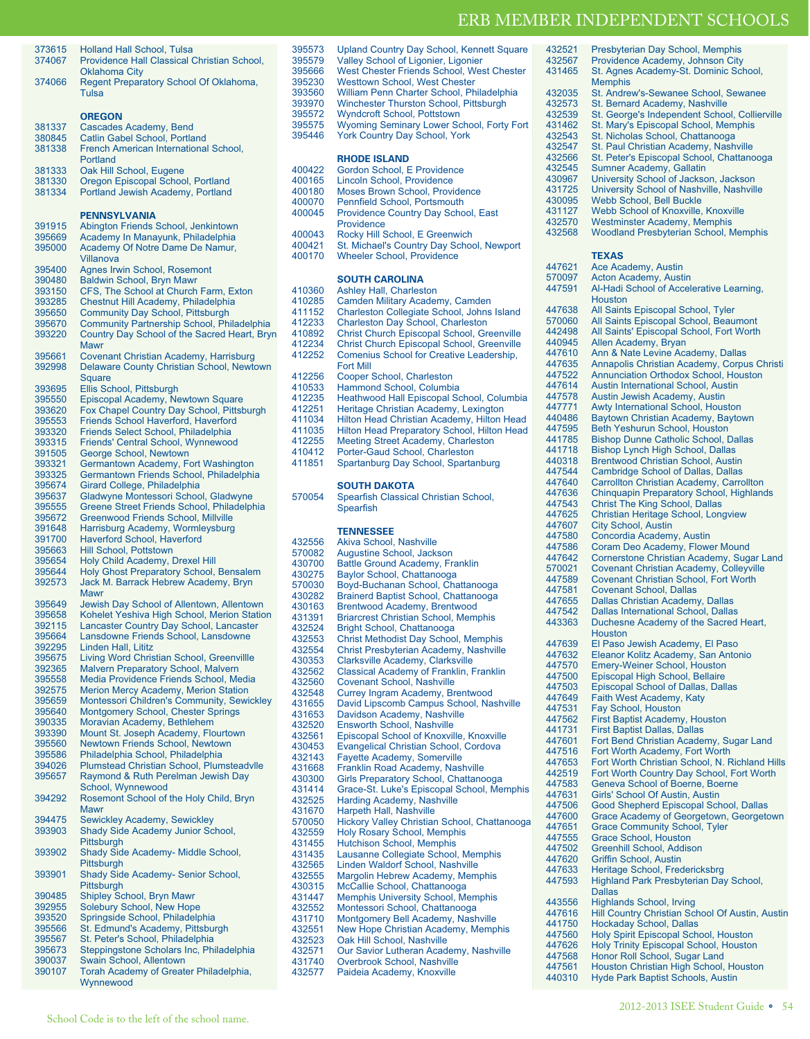| 373615           | <b>Holland Hall School, Tulsa</b>                 |
|------------------|---------------------------------------------------|
| 374067           | Providence Hall Classical Christian School,       |
|                  | <b>Oklahoma City</b>                              |
| 374066           | Regent Preparatory School Of Oklahoma,            |
|                  | Tulsa                                             |
|                  |                                                   |
|                  | <b>OREGON</b>                                     |
| 381337           | Cascades Academy, Bend                            |
|                  |                                                   |
| 380845           | Catlin Gabel School, Portland                     |
| 381338           | French American International School,             |
|                  | Portland                                          |
| 381333           | Oak Hill School, Eugene                           |
| 381330           | Oregon Episcopal School, Portland                 |
| 381334           | Portland Jewish Academy, Portland                 |
|                  |                                                   |
|                  | <b>PENNSYLVANIA</b>                               |
| 391915           | Abington Friends School, Jenkintown               |
| 395669           | Academy In Manayunk, Philadelphia                 |
| 395000           | Academy Of Notre Dame De Namur,                   |
|                  | <b>Villanova</b>                                  |
|                  |                                                   |
| 395400           | Agnes Irwin School, Rosemont                      |
| 390480           | <b>Baldwin School, Bryn Mawr</b>                  |
| 393150           | CFS, The School at Church Farm, Exton             |
| 393285           | Chestnut Hill Academy, Philadelphia               |
| 395650           | <b>Community Day School, Pittsburgh</b>           |
| 395670           | <b>Community Partnership School, Philadelphia</b> |
| 393220           | Country Day School of the Sacred Heart, Bryn      |
|                  | <b>Mawr</b>                                       |
| 395661           | Covenant Christian Academy, Harrisburg            |
| 392998           | Delaware County Christian School, Newtown         |
|                  | Square                                            |
| 393695           | Ellis School, Pittsburgh                          |
| 395550           | Episcopal Academy, Newtown Square                 |
| 393620           | Fox Chapel Country Day School, Pittsburgh         |
|                  |                                                   |
| 395553           | <b>Friends School Haverford, Haverford</b>        |
| 393320           | Friends Select School, Philadelphia               |
| 393315           | Friends' Central School, Wynnewood                |
| 391505           | George School, Newtown                            |
| 393321           | Germantown Academy, Fort Washington               |
| 393325           | Germantown Friends School, Philadelphia           |
| 395674           | Girard College, Philadelphia                      |
| 395637           | Gladwyne Montessori School, Gladwyne              |
| 395555           | Greene Street Friends School, Philadelphia        |
| 395672           | <b>Greenwood Friends School, Millville</b>        |
| 391648           |                                                   |
|                  | Harrisburg Academy, Wormleysburg                  |
| 391700           | <b>Haverford School, Haverford</b>                |
| 395663           | <b>Hill School, Pottstown</b>                     |
| 395654           | Holy Child Academy, Drexel Hill                   |
| 395644           | Holy Ghost Preparatory School, Bensalem           |
| 392573           | Jack M. Barrack Hebrew Academy, Bryn              |
|                  | Mawr                                              |
| 395649           | Jewish Day School of Allentown, Allentown         |
| 395658           | Kohelet Yeshiva High School, Merion Station       |
| 392115           | Lancaster Country Day School, Lancaster           |
| 395664           | Lansdowne Friends School, Lansdowne               |
| 392295           | Linden Hall, Lititz                               |
| 395675           | Living Word Christian School, Greenvillle         |
| 392365           | <b>Malvern Preparatory School, Malvern</b>        |
| 395558           | Media Providence Friends School, Media            |
| 392575           | Merion Mercy Academy, Merion Station              |
| 395659           | Montessori Children's Community, Sewickley        |
|                  |                                                   |
| 395640           | <b>Montgomery School, Chester Springs</b>         |
| 390335           | Moravian Academy, Bethlehem                       |
| 393390           | Mount St. Joseph Academy, Flourtown               |
| 395560           | Newtown Friends School, Newtown                   |
| 395586           | Philadelphia School, Philadelphia                 |
| 394026           | Plumstead Christian School, Plumsteadvlle         |
| 395657           | Raymond & Ruth Perelman Jewish Day                |
|                  | School, Wynnewood                                 |
| 394292           | Rosemont School of the Holy Child, Bryn           |
|                  |                                                   |
|                  | Mawr                                              |
| 394475           | <b>Sewickley Academy, Sewickley</b>               |
| 393903           |                                                   |
|                  | Shady Side Academy Junior School,                 |
|                  | <b>Pittsburgh</b>                                 |
|                  | Shady Side Academy- Middle School,                |
|                  | Pittsburgh                                        |
| 393902<br>393901 | Shady Side Academy- Senior School,                |
|                  | Pittsburgh                                        |
| 390485           | Shipley School, Bryn Mawr                         |
| 392955           | Solebury School, New Hope                         |
| 393520           | Springside School, Philadelphia                   |
| 395566           | St. Edmund's Academy, Pittsburgh                  |
| 395567           | St. Peter's School, Philadelphia                  |
| 395673           | Steppingstone Scholars Inc, Philadelphia          |
| 390037           | Swain School, Allentown                           |
| 390107           | Torah Academy of Greater Philadelphia,            |

| 395573           | <b>Upland Country Day School, Kennett Square</b>                      | 432521 | Presbyterian Day School, Memphis                |
|------------------|-----------------------------------------------------------------------|--------|-------------------------------------------------|
| 395579           | Valley School of Ligonier, Ligonier                                   | 432567 | Providence Academy, Johnson City                |
|                  |                                                                       |        |                                                 |
| 395666           | West Chester Friends School, West Chester                             | 431465 | St. Agnes Academy-St. Dominic School,           |
| 395230           | <b>Westtown School, West Chester</b>                                  |        | <b>Memphis</b>                                  |
| 393560           | William Penn Charter School, Philadelphia                             |        |                                                 |
|                  |                                                                       | 432035 | St. Andrew's-Sewanee School, Sewanee            |
| 393970           | Winchester Thurston School, Pittsburgh                                | 432573 | St. Bernard Academy, Nashville                  |
| 395572           | <b>Wyndcroft School, Pottstown</b>                                    | 432539 | St. George's Independent School, Collierville   |
|                  |                                                                       |        |                                                 |
| 395575           | Wyoming Seminary Lower School, Forty Fort                             | 431462 | St. Mary's Episcopal School, Memphis            |
| 395446           | <b>York Country Day School, York</b>                                  | 432543 | St. Nicholas School, Chattanooga                |
|                  |                                                                       |        |                                                 |
|                  |                                                                       | 432547 | St. Paul Christian Academy, Nashville           |
|                  | <b>RHODE ISLAND</b>                                                   | 432566 | St. Peter's Episcopal School, Chattanooga       |
|                  |                                                                       |        |                                                 |
| 400422           | Gordon School, E Providence                                           | 432545 | Sumner Academy, Gallatin                        |
| 400165           | Lincoln School, Providence                                            | 430967 | University School of Jackson, Jackson           |
|                  |                                                                       |        |                                                 |
| 400180           | <b>Moses Brown School, Providence</b>                                 | 431725 | University School of Nashville, Nashville       |
| 400070           | Pennfield School, Portsmouth                                          | 430095 | <b>Webb School, Bell Buckle</b>                 |
|                  |                                                                       |        |                                                 |
| 400045           | <b>Providence Country Day School, East</b>                            | 431127 | Webb School of Knoxville, Knoxville             |
|                  | Providence                                                            | 432570 | <b>Westminster Academy, Memphis</b>             |
|                  |                                                                       | 432568 |                                                 |
| 400043           | Rocky Hill School, E Greenwich                                        |        | <b>Woodland Presbyterian School, Memphis</b>    |
| 400421           | St. Michael's Country Day School, Newport                             |        |                                                 |
|                  |                                                                       |        |                                                 |
| 400170           | <b>Wheeler School, Providence</b>                                     |        | <b>TEXAS</b>                                    |
|                  |                                                                       | 447621 | Ace Academy, Austin                             |
|                  |                                                                       | 570097 |                                                 |
|                  | <b>SOUTH CAROLINA</b>                                                 |        | Acton Academy, Austin                           |
| 410360           | <b>Ashley Hall, Charleston</b>                                        | 447591 | Al-Hadi School of Accelerative Learning,        |
|                  |                                                                       |        | Houston                                         |
| 410285           | Camden Military Academy, Camden                                       |        |                                                 |
| 411152           | Charleston Collegiate School, Johns Island                            | 447638 | All Saints Episcopal School, Tyler              |
|                  |                                                                       | 570060 | All Saints Episcopal School, Beaumont           |
| 412233           | Charleston Day School, Charleston                                     |        |                                                 |
| 410892           | Christ Church Episcopal School, Greenville                            | 442498 | All Saints' Episcopal School, Fort Worth        |
|                  |                                                                       | 440945 | Allen Academy, Bryan                            |
| 412234           | <b>Christ Church Episcopal School, Greenville</b>                     |        |                                                 |
| 412252           | Comenius School for Creative Leadership,                              | 447610 | Ann & Nate Levine Academy, Dallas               |
|                  |                                                                       | 447635 | Annapolis Christian Academy, Corpus Christ      |
|                  | <b>Fort Mill</b>                                                      |        |                                                 |
| 412256           | Cooper School, Charleston                                             | 447522 | <b>Annunciation Orthodox School, Houston</b>    |
|                  |                                                                       | 447614 | Austin International School, Austin             |
| 410533           | Hammond School, Columbia                                              |        |                                                 |
| 412235           | Heathwood Hall Episcopal School, Columbia                             | 447578 | Austin Jewish Academy, Austin                   |
|                  |                                                                       | 447771 | Awty International School, Houston              |
| 412251           | Heritage Christian Academy, Lexington                                 |        |                                                 |
| 411034           | Hilton Head Christian Academy, Hilton Head                            | 440486 | Baytown Christian Academy, Baytown              |
|                  |                                                                       | 447595 | <b>Beth Yeshurun School, Houston</b>            |
| 411035           | Hilton Head Preparatory School, Hilton Head                           |        |                                                 |
| 412255           | Meeting Street Academy, Charleston                                    | 441785 | <b>Bishop Dunne Catholic School, Dallas</b>     |
| 410412           | Porter-Gaud School, Charleston                                        | 441718 | Bishop Lynch High School, Dallas                |
|                  |                                                                       |        |                                                 |
| 411851           | Spartanburg Day School, Spartanburg                                   | 440318 | <b>Brentwood Christian School, Austin</b>       |
|                  |                                                                       | 447544 | Cambridge School of Dallas, Dallas              |
|                  |                                                                       |        |                                                 |
|                  | <b>SOUTH DAKOTA</b>                                                   | 447640 | Carrollton Christian Academy, Carrollton        |
|                  |                                                                       | 447636 | <b>Chinquapin Preparatory School, Highlands</b> |
| 570054           | Spearfish Classical Christian School,                                 | 447543 | <b>Christ The King School, Dallas</b>           |
|                  | Spearfish                                                             |        |                                                 |
|                  |                                                                       | 447625 | Christian Heritage School, Longview             |
|                  |                                                                       | 447607 | <b>City School, Austin</b>                      |
|                  | <b>TENNESSEE</b>                                                      |        |                                                 |
|                  |                                                                       | 447580 | Concordia Academy, Austin                       |
| 432556           | Akiva School, Nashville                                               | 447586 | Coram Deo Academy, Flower Mound                 |
| 570082           | Augustine School, Jackson                                             |        |                                                 |
|                  |                                                                       | 447642 | Cornerstone Christian Academy, Sugar Land       |
| 430700           | <b>Battle Ground Academy, Franklin</b>                                | 570021 | <b>Covenant Christian Academy, Colleyville</b>  |
| 430275           | Baylor School, Chattanooga                                            |        |                                                 |
| 570030           |                                                                       | 447589 | <b>Covenant Christian School, Fort Worth</b>    |
|                  | Boyd-Buchanan School, Chattanooga                                     | 447581 | <b>Covenant School, Dallas</b>                  |
| 430282           | Brainerd Baptist School, Chattanooga                                  |        |                                                 |
| 430163           |                                                                       | 447655 | Dallas Christian Academy, Dallas                |
|                  | Brentwood Academy, Brentwood                                          | 447542 | <b>Dallas International School, Dallas</b>      |
| 431391           | <b>Briarcrest Christian School, Memphis</b>                           | 443363 |                                                 |
| 432524           |                                                                       |        | Duchesne Academy of the Sacred Heart,           |
|                  | Bright School, Chattanooga                                            |        | Houston                                         |
| 432553           | <b>Christ Methodist Day School, Memphis</b>                           |        |                                                 |
| 432554           | Christ Presbyterian Academy, Nashville                                |        |                                                 |
|                  |                                                                       | 447639 | El Paso Jewish Academy, El Paso                 |
| 430353           |                                                                       |        |                                                 |
|                  |                                                                       | 447632 | Eleanor Kolitz Academy, San Antonio             |
|                  | Clarksville Academy, Clarksville                                      | 447570 | Emery-Weiner School, Houston                    |
| 432562           | Classical Academy of Franklin, Franklin                               |        |                                                 |
| 432560           | <b>Covenant School, Nashville</b>                                     | 447500 | Episcopal High School, Bellaire                 |
|                  |                                                                       | 447503 | <b>Episcopal School of Dallas, Dallas</b>       |
| 432548           | Currey Ingram Academy, Brentwood                                      | 447649 | Faith West Academy, Katy                        |
| 431655           | David Lipscomb Campus School, Nashville                               |        |                                                 |
|                  |                                                                       | 447531 | Fay School, Houston                             |
| 431653           | Davidson Academy, Nashville                                           | 447562 | First Baptist Academy, Houston                  |
| 432520           | Ensworth School, Nashville                                            |        |                                                 |
|                  |                                                                       | 441731 | <b>First Baptist Dallas, Dallas</b>             |
| 432561           | Episcopal School of Knoxville, Knoxville                              | 447601 | Fort Bend Christian Academy, Sugar Land         |
| 430453           | Evangelical Christian School, Cordova                                 |        |                                                 |
|                  |                                                                       | 447516 | Fort Worth Academy, Fort Worth                  |
| 432143           | <b>Fayette Academy, Somerville</b>                                    | 447653 | Fort Worth Christian School, N. Richland Hill:  |
| 431668           | Franklin Road Academy, Nashville                                      |        |                                                 |
| 430300           | Girls Preparatory School, Chattanooga                                 | 442519 | Fort Worth Country Day School, Fort Worth       |
|                  |                                                                       | 447583 | Geneva School of Boerne, Boerne                 |
| 431414           | Grace-St. Luke's Episcopal School, Memphis                            |        |                                                 |
| 432525           | Harding Academy, Nashville                                            | 447631 | Girls' School Of Austin, Austin                 |
|                  |                                                                       | 447506 | Good Shepherd Episcopal School, Dallas          |
| 431670           | Harpeth Hall, Nashville                                               | 447600 | Grace Academy of Georgetown, Georgetowr         |
| 570050           | Hickory Valley Christian School, Chattanooga                          |        |                                                 |
|                  |                                                                       | 447651 | <b>Grace Community School, Tyler</b>            |
| 432559           | <b>Holy Rosary School, Memphis</b>                                    | 447555 | Grace School, Houston                           |
| 431455           | <b>Hutchison School, Memphis</b>                                      |        |                                                 |
|                  |                                                                       | 447502 | Greenhill School, Addison                       |
| 431435           | Lausanne Collegiate School, Memphis                                   | 447620 | Griffin School, Austin                          |
| 432565           | Linden Waldorf School, Nashville                                      |        |                                                 |
|                  |                                                                       | 447633 | Heritage School, Fredericksbrg                  |
| 432555           | Margolin Hebrew Academy, Memphis                                      | 447593 | Highland Park Presbyterian Day School,          |
| 430315           | McCallie School, Chattanooga                                          |        |                                                 |
|                  |                                                                       |        | <b>Dallas</b>                                   |
| 431447           | <b>Memphis University School, Memphis</b>                             | 443556 | <b>Highlands School, Irving</b>                 |
| 432552           | Montessori School, Chattanooga                                        |        |                                                 |
| 431710           | Montgomery Bell Academy, Nashville                                    | 447616 | Hill Country Christian School Of Austin, Austi  |
|                  |                                                                       | 441750 | <b>Hockaday School, Dallas</b>                  |
| 432551           | New Hope Christian Academy, Memphis                                   |        |                                                 |
| 432523           | Oak Hill School, Nashville                                            | 447560 | Holy Spirit Episcopal School, Houston           |
|                  |                                                                       | 447626 | Holy Trinity Episcopal School, Houston          |
| 432571<br>431740 | Our Savior Lutheran Academy, Nashville<br>Overbrook School, Nashville | 447568 | Honor Roll School, Sugar Land                   |

432577 Paideia Academy, Knoxville

| 431725           | University School of Nashville, Nashville                                      |
|------------------|--------------------------------------------------------------------------------|
| 430095           | <b>Webb School, Bell Buckle</b>                                                |
| 431127           | Webb School of Knoxville, Knoxville                                            |
| 432570           | <b>Westminster Academy, Memphis</b>                                            |
| 432568           | <b>Woodland Presbyterian School, Memphis</b>                                   |
|                  |                                                                                |
|                  | <b>TEXAS</b>                                                                   |
| 447621           | Ace Academy, Austin                                                            |
| 570097           | <b>Acton Academy, Austin</b>                                                   |
| 447591           | Al-Hadi School of Accelerative Learning,                                       |
|                  | Houston                                                                        |
| 447638           | All Saints Episcopal School, Tyler                                             |
| 570060           | All Saints Episcopal School, Beaumont                                          |
| 442498           | All Saints' Episcopal School, Fort Worth                                       |
| 440945           | Allen Academy, Bryan                                                           |
| 447610           | Ann & Nate Levine Academy, Dallas                                              |
| 447635           | Annapolis Christian Academy, Corpus Christi                                    |
| 447522           | Annunciation Orthodox School, Houston                                          |
| 447614           | <b>Austin International School, Austin</b>                                     |
| 447578           | Austin Jewish Academy, Austin                                                  |
| 447771           | Awty International School, Houston                                             |
| 440486           | Baytown Christian Academy, Baytown                                             |
| 447595           | Beth Yeshurun School, Houston                                                  |
| 441785           | <b>Bishop Dunne Catholic School, Dallas</b>                                    |
| 441718           | <b>Bishop Lynch High School, Dallas</b>                                        |
| 440318           | <b>Brentwood Christian School, Austin</b>                                      |
| 447544           | <b>Cambridge School of Dallas, Dallas</b>                                      |
| 447640           | Carrollton Christian Academy, Carrollton                                       |
| 447636           | Chinquapin Preparatory School, Highlands                                       |
| 447543           | <b>Christ The King School, Dallas</b>                                          |
| 447625           | Christian Heritage School, Longview                                            |
| 447607           | <b>City School, Austin</b>                                                     |
| 447580           | Concordia Academy, Austin                                                      |
| 447586           | Coram Deo Academy, Flower Mound                                                |
| 447642           | Cornerstone Christian Academy, Sugar Land                                      |
| 570021           | <b>Covenant Christian Academy, Colleyville</b>                                 |
| 447589           | <b>Covenant Christian School, Fort Worth</b><br><b>Covenant School, Dallas</b> |
| 447581           |                                                                                |
| 447655<br>447542 | Dallas Christian Academy, Dallas<br>Dallas International School, Dallas        |
| 443363           | Duchesne Academy of the Sacred Heart,                                          |
|                  | <b>Houston</b>                                                                 |
| 447639           | El Paso Jewish Academy, El Paso                                                |
| 447632           | Eleanor Kolitz Academy, San Antonio                                            |
| 447570           | <b>Emery-Weiner School, Houston</b>                                            |
| 447500           | Episcopal High School, Bellaire                                                |
| 447503           | <b>Episcopal School of Dallas, Dallas</b>                                      |
| 447649           | Faith West Academy, Katy                                                       |
| 447531           | Fay School, Houston                                                            |
| 447562           | <b>First Baptist Academy, Houston</b>                                          |
| 441731           | <b>First Baptist Dallas, Dallas</b>                                            |
| 447601           | Fort Bend Christian Academy, Sugar Land                                        |
| 447516           | Fort Worth Academy, Fort Worth                                                 |
| 447653           | Fort Worth Christian School, N. Richland Hills                                 |
| 442519           | Fort Worth Country Day School, Fort Worth                                      |
| 447583           | Geneva School of Boerne, Boerne                                                |
| 447631           | Girls' School Of Austin, Austin                                                |
| 447506           | Good Shepherd Episcopal School, Dallas                                         |
| 447600           | Grace Academy of Georgetown, Georgetown                                        |
| 447651           | <b>Grace Community School, Tyler</b>                                           |
| 447555           | Grace School, Houston                                                          |
| 447502           | <b>Greenhill School, Addison</b>                                               |
| 447620           | Griffin School, Austin                                                         |
| 447633           | Heritage School, Fredericksbrg                                                 |
| 447593           | Highland Park Presbyterian Day School,                                         |
|                  | <b>Dallas</b>                                                                  |
| 443556           | <b>Highlands School, Irving</b>                                                |
| 447616           | Hill Country Christian School Of Austin, Austin                                |
| 441750           | <b>Hockaday School, Dallas</b>                                                 |
| 447560           | Holy Spirit Episcopal School, Houston                                          |
| 447626           | Holy Trinity Episcopal School, Houston                                         |
| 447568           | Honor Roll School, Sugar Land                                                  |
| 447561           | Houston Christian High School, Houston                                         |

440310 Hyde Park Baptist Schools, Austin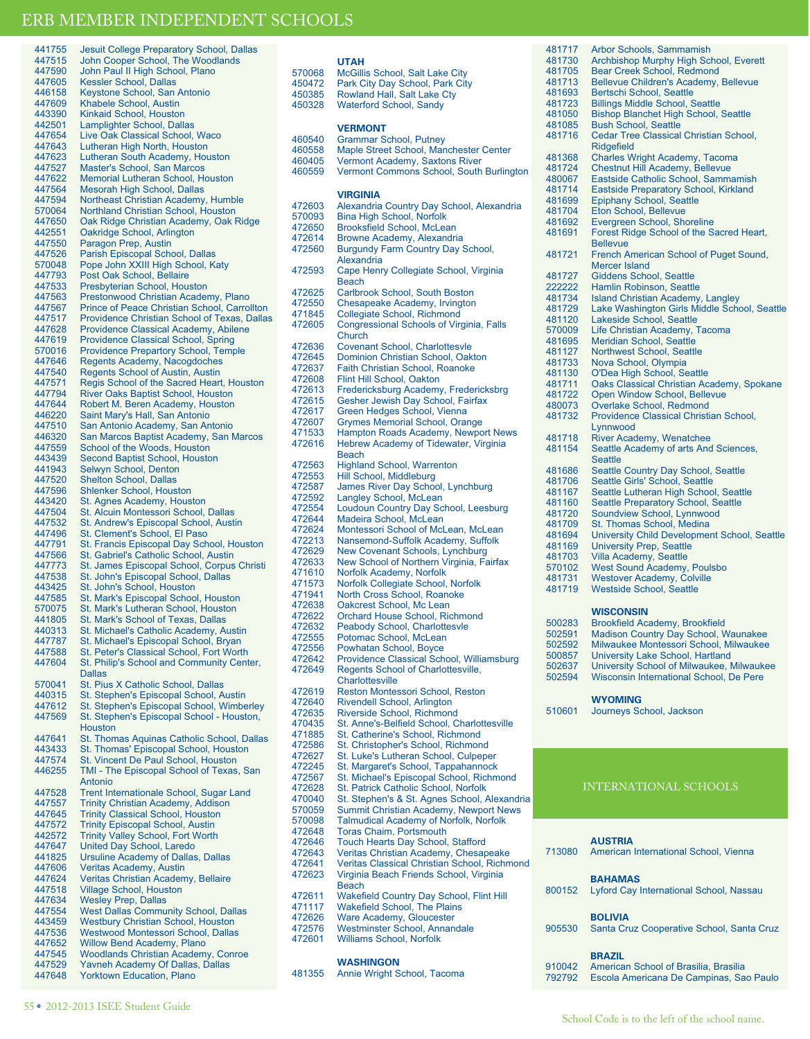| 441755           | Jesuit College Preparatory School, Dallas                             |                                                      |
|------------------|-----------------------------------------------------------------------|------------------------------------------------------|
| 447515           | John Cooper School, The Woodlands                                     |                                                      |
| 447590<br>447605 | John Paul II High School, Plano<br><b>Kessler School, Dallas</b>      | ć                                                    |
| 446158           | Keystone School, San Antonio                                          | $\overline{\phantom{a}}$                             |
| 447609           | Khabele School, Austin                                                | Z<br>Z                                               |
| 443390           | Kinkaid School, Houston                                               |                                                      |
| 442501           | Lamplighter School, Dallas                                            |                                                      |
| 447654           | Live Oak Classical School, Waco                                       | $\overline{\phantom{a}}$                             |
| 447643           | Lutheran High North, Houston                                          | $\overline{\phantom{a}}$                             |
| 447623           | Lutheran South Academy, Houston                                       | Z                                                    |
| 447527           | Master's School, San Marcos                                           | Z                                                    |
| 447622           | Memorial Lutheran School, Houston                                     |                                                      |
| 447564           | Mesorah High School, Dallas                                           |                                                      |
| 447594           | Northeast Christian Academy, Humble                                   | $\overline{\phantom{a}}$                             |
| 570064           | Northland Christian School, Houston                                   | ł                                                    |
| 447650           | Oak Ridge Christian Academy, Oak Ridge                                | $\overline{\phantom{a}}$                             |
| 442551<br>447550 | Oakridge School, Arlington                                            | $\overline{\mathbf{r}}$                              |
| 447526           | Paragon Prep, Austin<br>Parish Episcopal School, Dallas               | $\overline{\phantom{a}}$                             |
| 570048           | Pope John XXIII High School, Katy                                     |                                                      |
| 447793           | Post Oak School, Bellaire                                             | $\overline{\phantom{a}}$                             |
| 447533           | Presbyterian School, Houston                                          |                                                      |
| 447563           | Prestonwood Christian Academy, Plano                                  | $\overline{\phantom{a}}$                             |
| 447567           | Prince of Peace Christian School, Carrollton                          | Z                                                    |
| 447517           | Providence Christian School of Texas, Dallas                          | $\overline{\phantom{a}}$                             |
| 447628           | Providence Classical Academy, Abilene                                 | $\overline{\phantom{a}}$                             |
| 447619           | <b>Providence Classical School, Spring</b>                            |                                                      |
| 570016           | <b>Providence Prepartory School, Temple</b>                           | $\overline{\phantom{a}}$<br>$\overline{\phantom{a}}$ |
| 447646           | Regents Academy, Nacogdoches                                          | $\overline{\phantom{a}}$                             |
| 447540           | <b>Regents School of Austin, Austin</b>                               | $\overline{\phantom{a}}$                             |
| 447571           | Regis School of the Sacred Heart, Houston                             | $\overline{\phantom{a}}$                             |
| 447794           | <b>River Oaks Baptist School, Houston</b>                             | $\overline{\phantom{a}}$                             |
| 447644<br>446220 | Robert M. Beren Academy, Houston<br>Saint Mary's Hall, San Antonio    | $\overline{\phantom{a}}$                             |
| 447510           | San Antonio Academy, San Antonio                                      | $\overline{\phantom{a}}$                             |
| 446320           | San Marcos Baptist Academy, San Marcos                                | $\overline{\phantom{a}}$                             |
| 447559           | School of the Woods, Houston                                          | Z                                                    |
| 443439           | Second Baptist School, Houston                                        |                                                      |
| 441943           | Selwyn School, Denton                                                 | $\overline{\phantom{a}}$                             |
| 447520           | <b>Shelton School, Dallas</b>                                         | $\overline{\phantom{a}}$                             |
| 447596           | <b>Shlenker School, Houston</b>                                       | $\overline{\phantom{a}}$                             |
| 443420           | St. Agnes Academy, Houston                                            | $\overline{\phantom{a}}$                             |
| 447504           | St. Alcuin Montessori School, Dallas                                  | $\overline{\phantom{a}}$<br>$\overline{\phantom{a}}$ |
| 447532           | St. Andrew's Episcopal School, Austin                                 | $\overline{\phantom{a}}$                             |
| 447496           | St. Clement's School, El Paso                                         | $\overline{\phantom{a}}$                             |
| 447791           | St. Francis Episcopal Day School, Houston                             | $\overline{\phantom{a}}$                             |
| 447566           | St. Gabriel's Catholic School, Austin                                 | $\overline{\phantom{a}}$                             |
| 447773<br>447538 | St. James Episcopal School, Corpus Christi                            | $\overline{\phantom{a}}$                             |
| 443425           | St. John's Episcopal School, Dallas<br>St. John's School, Houston     | $\overline{\phantom{a}}$                             |
| 447585           | St. Mark's Episcopal School, Houston                                  | $\overline{\phantom{a}}$                             |
| 570075           | St. Mark's Lutheran School, Houston                                   | $\overline{\phantom{a}}$                             |
| 441805           | St. Mark's School of Texas, Dallas                                    | $\overline{\phantom{a}}$                             |
| 440313           | St. Michael's Catholic Academy, Austin                                | $\overline{\phantom{a}}$                             |
| 447787           | St. Michael's Episcopal School, Bryan                                 | $\overline{\phantom{a}}$                             |
| 447588           | St. Peter's Classical School, Fort Worth                              | $\overline{\phantom{a}}$                             |
| 447604           | St. Philip's School and Community Center                              | $\overline{\mathbf{r}}$                              |
|                  | <b>Dallas</b>                                                         | Z                                                    |
| 570041           | St. Pius X Catholic School, Dallas                                    | Z                                                    |
| 440315           | St. Stephen's Episcopal School, Austin                                | $\overline{\mathbf{r}}$                              |
| 447612<br>447569 | St. Stephen's Episcopal School, Wimberley                             | $\overline{\mathbf{r}}$                              |
|                  | St. Stephen's Episcopal School - Houston,<br><b>Houston</b>           | $\overline{\mathbf{r}}$                              |
| 447641           | St. Thomas Aquinas Catholic School, Dallas                            | $\overline{\mathbf{r}}$                              |
| 443433           | St. Thomas' Episcopal School, Houston                                 | $\overline{\mathbf{r}}$                              |
| 447574           | St. Vincent De Paul School, Houston                                   | $\overline{\mathbf{r}}$                              |
| 446255           | TMI - The Episcopal School of Texas, San                              | $\overline{\phantom{a}}$                             |
|                  | Antonio                                                               | $\overline{\mathbf{r}}$                              |
| 447528           | Trent Internationale School, Sugar Land                               | $\overline{\mathbf{r}}$                              |
| 447557           | Trinity Christian Academy, Addison                                    | $\overline{\phantom{a}}$                             |
| 447645           | <b>Trinity Classical School, Houston</b>                              | ł<br>ŧ                                               |
| 447572           | <b>Trinity Episcopal School, Austin</b>                               | Ź                                                    |
| 442572           | <b>Trinity Valley School, Fort Worth</b>                              | $\overline{\mathbf{r}}$                              |
| 447647           | United Day School, Laredo                                             | $\overline{\mathbf{r}}$                              |
| 441825           | <b>Ursuline Academy of Dallas, Dallas</b>                             | $\overline{\mathbf{r}}$                              |
| 447606<br>447624 | <b>Veritas Academy, Austin</b>                                        | Z                                                    |
| 447518           | Veritas Christian Academy, Bellaire<br><b>Village School, Houston</b> |                                                      |
| 447634           | <b>Wesley Prep, Dallas</b>                                            | Z                                                    |
| 447554           | <b>West Dallas Community School, Dallas</b>                           | Z                                                    |
| 443459           | <b>Westbury Christian School, Houston</b>                             | Z                                                    |
| 447536           | Westwood Montessori School, Dallas                                    | Z                                                    |
| 447652           | <b>Willow Bend Academy, Plano</b>                                     | Ź                                                    |
| 447545           | <b>Woodlands Christian Academy, Conroe</b>                            |                                                      |
| 447529           | Yavneh Academy Of Dallas, Dallas                                      |                                                      |
| 447648           | <b>Yorktown Education, Plano</b>                                      | Z                                                    |

|        | <b>UTAH</b>                                                    |
|--------|----------------------------------------------------------------|
| 570068 | McGillis School, Salt Lake City                                |
| 450472 |                                                                |
| 450385 | Park City Day School, Park City<br>Rowland Hall, Salt Lake Cty |
| 450328 | <b>Waterford School, Sandy</b>                                 |
|        |                                                                |
|        | <b>VERMONT</b>                                                 |
|        |                                                                |
| 460540 | <b>Grammar School, Putney</b>                                  |
| 460558 | Maple Street School, Manchester Center                         |
| 460405 | Vermont Academy, Saxtons River                                 |
| 460559 | Vermont Commons School, South Burlington                       |
|        |                                                                |
|        | <b>VIRGINIA</b>                                                |
| 472603 | Alexandria Country Day School, Alexandria                      |
| 570093 | <b>Bina High School, Norfolk</b>                               |
| 472650 | <b>Brooksfield School, McLean</b>                              |
| 472614 | Browne Academy, Alexandria                                     |
| 472560 | <b>Burgundy Farm Country Day School,</b>                       |
|        | Alexandria                                                     |
| 472593 | Cape Henry Collegiate School, Virginia                         |
|        | <b>Beach</b>                                                   |
| 472625 | Carlbrook School, South Boston                                 |
| 472550 |                                                                |
|        | Chesapeake Academy, Irvington                                  |
| 471845 | Collegiate School, Richmond                                    |
| 472605 | Congressional Schools of Virginia, Falls                       |
|        | Church                                                         |
| 472636 | Covenant School, Charlottesvle                                 |
| 472645 | Dominion Christian School, Oakton                              |
| 472637 | Faith Christian School, Roanoke                                |
| 472608 | <b>Flint Hill School, Oakton</b>                               |
| 472613 | Fredericksburg Academy, Fredericksbrg                          |
| 472615 | Gesher Jewish Day School, Fairfax                              |
| 472617 | Green Hedges School, Vienna                                    |
| 472607 | <b>Grymes Memorial School, Orange</b>                          |
| 471533 | Hampton Roads Academy, Newport News                            |
| 472616 | Hebrew Academy of Tidewater, Virginia                          |
|        | <b>Beach</b>                                                   |
| 472563 | <b>Highland School, Warrenton</b>                              |
| 472553 | Hill School, Middleburg                                        |
| 472587 | James River Day School, Lynchburg                              |
| 472592 | Langley School, McLean                                         |
| 472554 | Loudoun Country Day School, Leesburg                           |
| 472644 | Madeira School, McLean                                         |
| 472624 | Montessori School of McLean, McLean                            |
| 472213 | Nansemond-Suffolk Academy, Suffolk                             |
| 472629 | New Covenant Schools, Lynchburg                                |
| 472633 |                                                                |
|        | New School of Northern Virginia, Fairfax                       |
| 471610 | Norfolk Academy, Norfolk                                       |
| 471573 | Norfolk Collegiate School, Norfolk                             |
| 471941 | North Cross School, Roanoke                                    |
| 472638 | Oakcrest School, Mc Lean                                       |
| 472622 | Orchard House School, Richmond                                 |
| 472632 | Peabody School, Charlottesvle                                  |
| 472555 | Potomac School, McLean                                         |
| 472556 | Powhatan School, Boyce                                         |
| 472642 | Providence Classical School, Williamsburg                      |
| 472649 | Regents School of Charlottesville,                             |
|        | Charlottesville                                                |
| 472619 | Reston Montessori School, Reston                               |
| 472640 | Rivendell School, Arlington                                    |
| 472635 | Riverside School, Richmond                                     |
| 470435 | St. Anne's-Belfield School, Charlottesville                    |
| 471885 | St. Catherine's School, Richmond                               |
| 472586 | St. Christopher's School, Richmond                             |
| 472627 | St. Luke's Lutheran School, Culpeper                           |
| 472245 | St. Margaret's School, Tappahannock                            |
| 472567 | St. Michael's Episcopal School, Richmond                       |
| 472628 | St. Patrick Catholic School, Norfolk                           |
| 470040 | St. Stephen's & St. Agnes School, Alexandria                   |
| 570059 | Summit Christian Academy, Newport News                         |
| 570098 | Talmudical Academy of Norfolk, Norfolk                         |
| 472648 | <b>Toras Chaim, Portsmouth</b>                                 |
| 472646 | <b>Touch Hearts Day School, Stafford</b>                       |
| 472643 | Veritas Christian Academy, Chesapeake                          |
| 472641 | Veritas Classical Christian School, Richmond                   |
| 472623 | Virginia Beach Friends School, Virginia                        |
|        | <b>Beach</b>                                                   |
| 472611 | Wakefield Country Day School, Flint Hill                       |
| 471117 | <b>Wakefield School, The Plains</b>                            |
|        |                                                                |
| 472626 | Ware Academy, Gloucester                                       |
| 472576 | Westminster School, Annandale                                  |
| 472601 | <b>Williams School, Norfolk</b>                                |
|        |                                                                |
|        | <b>WASHINGON</b>                                               |
| 481355 | Annie Wright School, Tacoma                                    |

| 481717           | Arbor Schools, Sammamish                           |
|------------------|----------------------------------------------------|
| 481730           | Archbishop Murphy High School, Everett             |
| 481705           | <b>Bear Creek School, Redmond</b>                  |
| 481713           | Bellevue Children's Academy, Bellevue              |
| 481693           | Bertschi School, Seattle                           |
| 481723           | <b>Billings Middle School, Seattle</b>             |
| 481050           | <b>Bishop Blanchet High School, Seattle</b>        |
| 481085           | <b>Bush School, Seattle</b>                        |
| 481716           | Cedar Tree Classical Christian School,             |
|                  | <b>Ridgefield</b>                                  |
| 481368           | <b>Charles Wright Academy, Tacoma</b>              |
| 481724           | <b>Chestnut Hill Academy, Bellevue</b>             |
| 480067           | Eastside Catholic School, Sammamish                |
| 481714           | Eastside Preparatory School, Kirkland              |
| 481699           | <b>Epiphany School, Seattle</b>                    |
| 481704           | <b>Eton School, Bellevue</b>                       |
| 481692           | Evergreen School, Shoreline                        |
| 481691           | Forest Ridge School of the Sacred Heart,           |
|                  | <b>Bellevue</b>                                    |
| 481721           | French American School of Puget Sound,             |
|                  | Mercer Island                                      |
| 481727           | <b>Giddens School, Seattle</b>                     |
| 222222           | Hamlin Robinson, Seattle                           |
| 481734           | <b>Island Christian Academy, Langley</b>           |
| 481729           | Lake Washington Girls Middle School, Seattle       |
| 481120           | Lakeside School, Seattle                           |
| 570009           | Life Christian Academy, Tacoma                     |
| 481695           | Meridian School, Seattle                           |
| 481127           | <b>Northwest School, Seattle</b>                   |
| 481733<br>481130 | Nova School, Olympia<br>O'Dea High School, Seattle |
|                  | Oaks Classical Christian Academy, Spokane          |
| 481711<br>481722 | Open Window School, Bellevue                       |
| 480073           | Overlake School, Redmond                           |
| 481732           | Providence Classical Christian School,             |
|                  | Lynnwood                                           |
| 481718           | River Academy, Wenatchee                           |
| 481154           | Seattle Academy of arts And Sciences,              |
|                  | <b>Seattle</b>                                     |
| 481686           | Seattle Country Day School, Seattle                |
| 481706           | Seattle Girls' School, Seattle                     |
| 481167           | Seattle Lutheran High School, Seattle              |
| 481160           | Seattle Preparatory School, Seattle                |
| 481720           | Soundview School, Lynnwood                         |
| 481709           | St. Thomas School, Medina                          |
| 481694           | University Child Development School, Seattle       |
| 481169           | <b>University Prep, Seattle</b>                    |
| 481703           | Villa Academy, Seattle                             |
| 570102           | <b>West Sound Academy, Poulsbo</b>                 |
| 481731           | <b>Westover Academy, Colville</b>                  |
| 481719           | <b>Westside School, Seattle</b>                    |
|                  |                                                    |
|                  | <b>WISCONSIN</b>                                   |

| WISCONSIN |  |  |  |  |
|-----------|--|--|--|--|
|           |  |  |  |  |
|           |  |  |  |  |

| 500283<br><b>Brookfield Academy, Brookfield</b>     |  |
|-----------------------------------------------------|--|
| 502591<br>Madison Country Day School, Waunakee      |  |
| Milwaukee Montessori School, Milwaukee<br>502592    |  |
| 500857<br>University Lake School, Hartland          |  |
| 502637<br>University School of Milwaukee, Milwaukee |  |
| 502594<br>Wisconsin International School. De Pere   |  |

### **WYOMING**

510601 Journeys School, Jackson

## INTERNATIONAL SCHOOLS

### **AUSTRIA**

| 713080           | American International School, Vienna                                                             |
|------------------|---------------------------------------------------------------------------------------------------|
| 800152           | <b>BAHAMAS</b><br>Lyford Cay International School, Nassau                                         |
| 905530           | <b>BOLIVIA</b><br>Santa Cruz Cooperative School, Santa Cruz                                       |
| 910042<br>792792 | <b>BRAZIL</b><br>American School of Brasilia, Brasilia<br>Escola Americana De Campinas, Sao Paulo |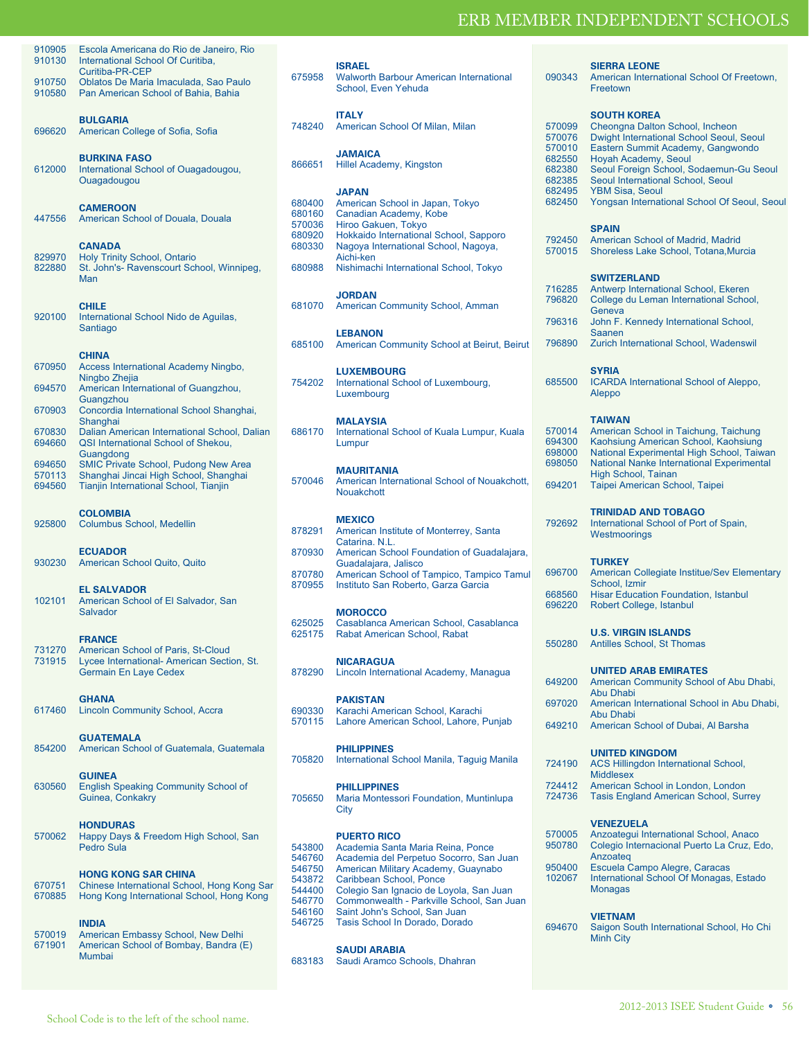**SIERRA LEONE**

| 910905<br>910130 | Escola Americana do Rio de Janeiro, Rio<br>International School Of Curitiba,<br>Curitiba-PR-CEP                                   |
|------------------|-----------------------------------------------------------------------------------------------------------------------------------|
| 910750<br>910580 | Oblatos De Maria Imaculada, Sao Paulo<br>Pan American School of Bahia, Bahia                                                      |
| 696620           | <b>BULGARIA</b><br>American College of Sofia, Sofia                                                                               |
| 612000           | <b>BURKINA FASO</b><br>International School of Ouagadougou,<br>Ouagadougou                                                        |
| 447556           | <b>CAMEROON</b><br>American School of Douala, Douala                                                                              |
| 829970<br>822880 | <b>CANADA</b><br>Holy Trinity School, Ontario<br>St. John's- Ravenscourt School, Winnipeg,<br>Man                                 |
| 920100           | <b>CHILE</b><br>International School Nido de Aguilas,<br>Santiago                                                                 |
| 670950           | <b>CHINA</b><br>Access International Academy Ningbo,<br>Ningbo Zhejia                                                             |
| 694570           | American International of Guangzhou,<br>Guangzhou                                                                                 |
| 670903           | Concordia International School Shanghai,<br>Shanghai                                                                              |
| 670830<br>694660 | Dalian American International School, Dalian<br>QSI International School of Shekou,                                               |
| 694650           | Guangdong<br><b>SMIC Private School, Pudong New Area</b>                                                                          |
| 570113           | Shanghai Jincai High School, Shanghai                                                                                             |
| 694560           | Tianjin International School, Tianjin                                                                                             |
| 925800           | <b>COLOMBIA</b><br>Columbus School, Medellin                                                                                      |
| 930230           | <b>ECUADOR</b><br>American School Quito, Quito                                                                                    |
| 102101           | <b>EL SALVADOR</b><br>American School of El Salvador, San<br>Salvador                                                             |
| 731270<br>731915 | <b>FRANCE</b><br>American School of Paris, St-Cloud<br>Lycee International- American Section, St.<br><b>Germain En Laye Cedex</b> |
| 617460           | <b>GHANA</b><br><b>Lincoln Community School, Accra</b>                                                                            |
| 854200           | <b>GUATEMALA</b><br>American School of Guatemala, Guatemala                                                                       |
| 630560           | <b>GUINEA</b><br><b>English Speaking Community School of</b><br>Guinea, Conkakry                                                  |
| 570062           | <b>HONDURAS</b><br>Happy Days & Freedom High School, San<br><b>Pedro Sula</b>                                                     |
| 670751<br>670885 | <b>HONG KONG SAR CHINA</b><br>Chinese International School, Hong Kong Sar<br>Hong Kong International School, Hong Kong            |
| 570019<br>671901 | INDIA<br>American Embassy School, New Delhi<br>American School of Bombay, Bandra (E)<br><b>Mumbai</b>                             |

| 675958                                                                       | <b>ISRAEL</b><br><b>Walworth Barbour American International</b><br>School, Even Yehuda                                                                                                                                                                                                                                          |  |  |  |
|------------------------------------------------------------------------------|---------------------------------------------------------------------------------------------------------------------------------------------------------------------------------------------------------------------------------------------------------------------------------------------------------------------------------|--|--|--|
| 748240                                                                       | <b>ITALY</b><br>American School Of Milan, Milan                                                                                                                                                                                                                                                                                 |  |  |  |
| 866651                                                                       | <b>JAMAICA</b><br>Hillel Academy, Kingston                                                                                                                                                                                                                                                                                      |  |  |  |
| 680400                                                                       | JAPAN                                                                                                                                                                                                                                                                                                                           |  |  |  |
| 680160                                                                       | American School in Japan, Tokyo<br>Canadian Academy, Kobe                                                                                                                                                                                                                                                                       |  |  |  |
| 570036                                                                       | Hiroo Gakuen, Tokyo                                                                                                                                                                                                                                                                                                             |  |  |  |
| 680920                                                                       | Hokkaido International School, Sapporo                                                                                                                                                                                                                                                                                          |  |  |  |
| 680330                                                                       | Nagoya International School, Nagoya,                                                                                                                                                                                                                                                                                            |  |  |  |
|                                                                              | Aichi-ken                                                                                                                                                                                                                                                                                                                       |  |  |  |
| 680988                                                                       | Nishimachi International School, Tokyo                                                                                                                                                                                                                                                                                          |  |  |  |
| 681070                                                                       | <b>JORDAN</b><br><b>American Community School, Amman</b>                                                                                                                                                                                                                                                                        |  |  |  |
| 685100                                                                       | <b>LEBANON</b><br>American Community School at Beirut, Beirut                                                                                                                                                                                                                                                                   |  |  |  |
| 754202                                                                       | <b>LUXEMBOURG</b><br>International School of Luxembourg,<br>Luxembourg                                                                                                                                                                                                                                                          |  |  |  |
| 686170                                                                       | <b>MALAYSIA</b><br>International School of Kuala Lumpur, Kuala<br>Lumpur                                                                                                                                                                                                                                                        |  |  |  |
| 570046                                                                       | <b>MAURITANIA</b><br>American International School of Nouakchott,<br>Nouakchott                                                                                                                                                                                                                                                 |  |  |  |
| 878291                                                                       | <b>MEXICO</b><br>American Institute of Monterrey, Santa<br>Catarina. N.L.                                                                                                                                                                                                                                                       |  |  |  |
| 870930                                                                       | American School Foundation of Guadalajara,                                                                                                                                                                                                                                                                                      |  |  |  |
|                                                                              | Guadalajara, Jalisco                                                                                                                                                                                                                                                                                                            |  |  |  |
| 870780<br>870955                                                             | American School of Tampico, Tampico Tamul<br>Instituto San Roberto, Garza Garcia                                                                                                                                                                                                                                                |  |  |  |
|                                                                              | <b>MOROCCO</b>                                                                                                                                                                                                                                                                                                                  |  |  |  |
| 625025                                                                       | Casablanca American School, Casablanca                                                                                                                                                                                                                                                                                          |  |  |  |
| 625175                                                                       | Rabat American School, Rabat                                                                                                                                                                                                                                                                                                    |  |  |  |
|                                                                              | <b>NICARAGUA</b>                                                                                                                                                                                                                                                                                                                |  |  |  |
| 878290                                                                       | Lincoln International Academy, Managua                                                                                                                                                                                                                                                                                          |  |  |  |
|                                                                              | <b>PAKISTAN</b>                                                                                                                                                                                                                                                                                                                 |  |  |  |
| 690330                                                                       | Karachi American School, Karachi                                                                                                                                                                                                                                                                                                |  |  |  |
| 570115                                                                       | Lahore American School, Lahore, Punjab                                                                                                                                                                                                                                                                                          |  |  |  |
| 705820                                                                       | <b>PHILIPPINES</b><br>International School Manila, Taguig Manila                                                                                                                                                                                                                                                                |  |  |  |
| 705650                                                                       | <b>PHILLIPPINES</b><br>Maria Montessori Foundation, Muntinlupa<br>City                                                                                                                                                                                                                                                          |  |  |  |
| 543800<br>546760<br>546750<br>543872<br>544400<br>546770<br>546160<br>546725 | <b>PUERTO RICO</b><br>Academia Santa Maria Reina, Ponce<br>Academia del Perpetuo Socorro, San Juan<br>American Military Academy, Guaynabo<br>Caribbean School, Ponce<br>Colegio San Ignacio de Loyola, San Juan<br>Commonwealth - Parkville School, San Juan<br>Saint John's School, San Juan<br>Tasis School In Dorado, Dorado |  |  |  |
| 683183                                                                       | <b>SAUDI ARABIA</b><br>Saudi Aramco Schools, Dhahran                                                                                                                                                                                                                                                                            |  |  |  |
|                                                                              |                                                                                                                                                                                                                                                                                                                                 |  |  |  |

| 090343                                                                       | American International School Of Freetown,<br>Freetown                                                                                                                                                                                                                                                                   |
|------------------------------------------------------------------------------|--------------------------------------------------------------------------------------------------------------------------------------------------------------------------------------------------------------------------------------------------------------------------------------------------------------------------|
| 570099<br>570076<br>570010<br>682550<br>682380<br>682385<br>682495<br>682450 | <b>SOUTH KOREA</b><br>Cheongna Dalton School, Incheon<br>Dwight International School Seoul, Seoul<br>Eastern Summit Academy, Gangwondo<br>Hoyah Academy, Seoul<br>Seoul Foreign School, Sodaemun-Gu Seoul<br>Seoul International School, Seoul<br><b>YBM Sisa, Seoul</b><br>Yongsan International School Of Seoul, Seoul |
| 792450<br>570015                                                             | <b>SPAIN</b><br>American School of Madrid, Madrid<br>Shoreless Lake School, Totana, Murcia                                                                                                                                                                                                                               |
| 716285<br>796820<br>796316                                                   | <b>SWITZERLAND</b><br>Antwerp International School, Ekeren<br>College du Leman International School,<br>Geneva<br>John F. Kennedy International School,<br>Saanen                                                                                                                                                        |
| 796890<br>685500                                                             | Zurich International School, Wadenswil<br><b>SYRIA</b><br>ICARDA International School of Aleppo,                                                                                                                                                                                                                         |
| 570014<br>694300<br>698000<br>698050<br>694201                               | Aleppo<br><b>TAIWAN</b><br>American School in Taichung, Taichung<br>Kaohsiung American School, Kaohsiung<br>National Experimental High School, Taiwan<br>National Nanke International Experimental<br><b>High School, Tainan</b><br>Taipei American School, Taipei                                                       |
| 792692                                                                       | <b>TRINIDAD AND TOBAGO</b><br>International School of Port of Spain,<br>Westmoorings                                                                                                                                                                                                                                     |
| 696700<br>668560<br>696220                                                   | <b>TURKEY</b><br>American Collegiate Institue/Sev Elementary<br>School, Izmir<br><b>Hisar Education Foundation, Istanbul</b><br>Robert College, Istanbul                                                                                                                                                                 |
| 550280                                                                       | <b>U.S. VIRGIN ISLANDS</b><br>Antilles School, St Thomas                                                                                                                                                                                                                                                                 |
| 649200<br>697020<br>649210                                                   | <b>UNITED ARAB EMIRATES</b><br>American Community School of Abu Dhabi,<br>Abu Dhabi<br>American International School in Abu Dhabi,<br>Abu Dhabi<br>American School of Dubai, Al Barsha                                                                                                                                   |
| 724190<br>724412<br>724736                                                   | <b>UNITED KINGDOM</b><br><b>ACS Hillingdon International School,</b><br><b>Middlesex</b><br>American School in London, London<br><b>Tasis England American School, Surrey</b>                                                                                                                                            |
| 570005<br>950780<br>950400<br>102067                                         | <b>VENEZUELA</b><br>Anzoategui International School, Anaco<br>Colegio Internacional Puerto La Cruz, Edo,<br>Anzoateg<br>Escuela Campo Alegre, Caracas<br>International School Of Monagas, Estado<br>Monagas                                                                                                              |

### **VIETNAM**

694670 Saigon South International School, Ho Chi Minh City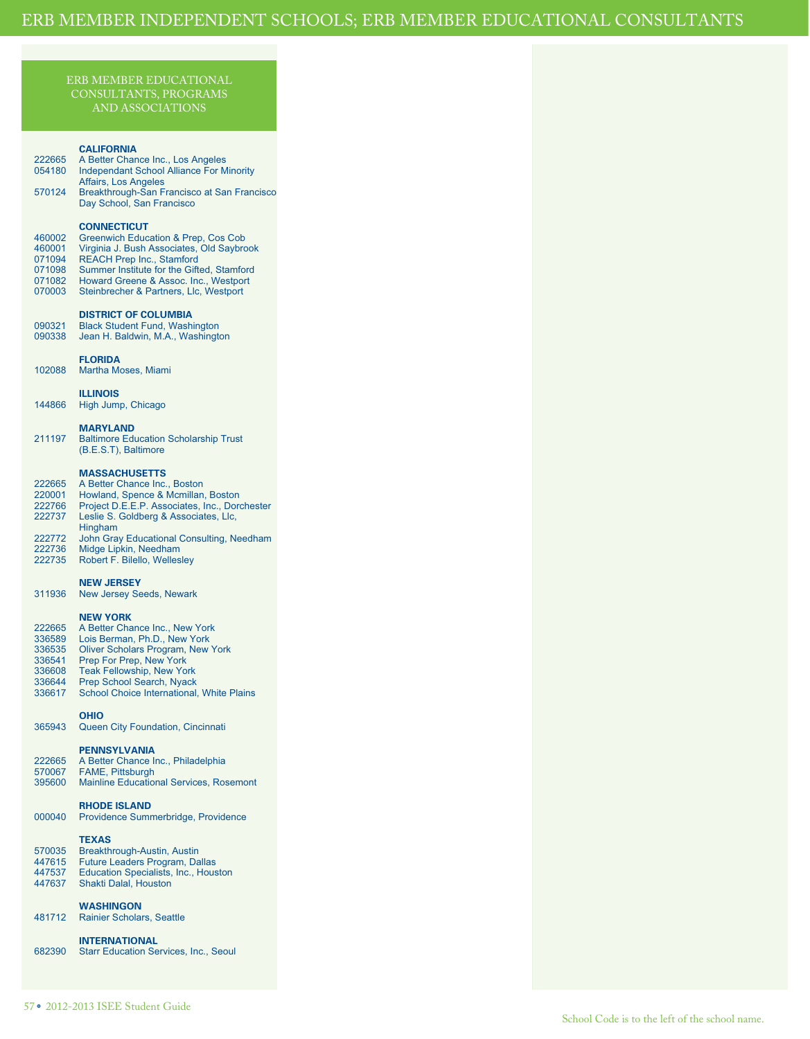### ERB MEMBER EDUCATIONAL CONSULTANTS, PROGRAMS AND ASSOCIATIONS

### **CALIFORNIA**

| 222665 | A Better Chance Inc., Los Angeles               |
|--------|-------------------------------------------------|
| 054180 | <b>Independant School Alliance For Minority</b> |
|        | Affairs, Los Angeles                            |
| 570124 | Breakthrough-San Francisco at San Francisco     |
|        | Day School, San Francisco                       |
|        |                                                 |

### **CONNECTICUT**

| 460002 | Greenwich Education & Prep, Cos Cob       |
|--------|-------------------------------------------|
| 460001 | Virginia J. Bush Associates, Old Saybrook |
| 071094 | <b>REACH Prep Inc., Stamford</b>          |
| 071098 | Summer Institute for the Gifted, Stamford |
| 071082 | Howard Greene & Assoc. Inc., Westport     |
| 070003 | Steinbrecher & Partners, Llc, Westport    |

### **DISTRICT OF COLUMBIA**

090321 Black Student Fund, Washington 090338 Jean H. Baldwin, M.A., Washington

### **FLORIDA**

| 102088 | Martha Moses, Miami |  |
|--------|---------------------|--|
|--------|---------------------|--|

**ILLINOIS**

| 144866 | High Jump, Chicago |  |
|--------|--------------------|--|

### **MARYLAND**

211197 Baltimore Education Scholarship Trust (B.E.S.T), Baltimore

### **MASSACHUSETTS**

| 222665 | A Better Chance Inc., Boston                  |
|--------|-----------------------------------------------|
| 220001 | Howland, Spence & Mcmillan, Boston            |
| 222766 | Project D.E.E.P. Associates, Inc., Dorchester |
| 222737 | Leslie S. Goldberg & Associates, Llc.         |
|        | Hingham                                       |
| 222772 | John Gray Educational Consulting, Needham     |
| 222736 | Midge Lipkin, Needham                         |
| 222735 | Robert F. Bilello, Wellesley                  |
|        |                                               |

### **NEW JERSEY**

311936 New Jersey Seeds, Newark

### **NEW YORK**

| 222665 | A Better Chance Inc., New York            |
|--------|-------------------------------------------|
| 336589 | Lois Berman, Ph.D., New York              |
| 336535 | <b>Oliver Scholars Program, New York</b>  |
| 336541 | Prep For Prep, New York                   |
| 336608 | <b>Teak Fellowship, New York</b>          |
| 336644 | Prep School Search, Nyack                 |
| 336617 | School Choice International, White Plains |
|        |                                           |

### **OHIO**

365943 Queen City Foundation, Cincinnati

### **PENNSYLVANIA**

|        | 222665 A Better Chance Inc., Philadelphia      |
|--------|------------------------------------------------|
| 570067 | <b>FAME, Pittsburgh</b>                        |
| 395600 | <b>Mainline Educational Services, Rosemont</b> |
|        |                                                |

## **RHODE ISLAND**

000040 Providence Summerbridge, Providence

# **TEXAS**

| 570035 | Breakthrough-Austin, Austin           |
|--------|---------------------------------------|
| 447615 | <b>Future Leaders Program, Dallas</b> |
| 447537 | Education Specialists, Inc., Houston  |
| 447637 | Shakti Dalal, Houston                 |
|        |                                       |

### **WASHINGON**

### **INTERNATIONAL**

682390 Starr Education Services, Inc., Seoul